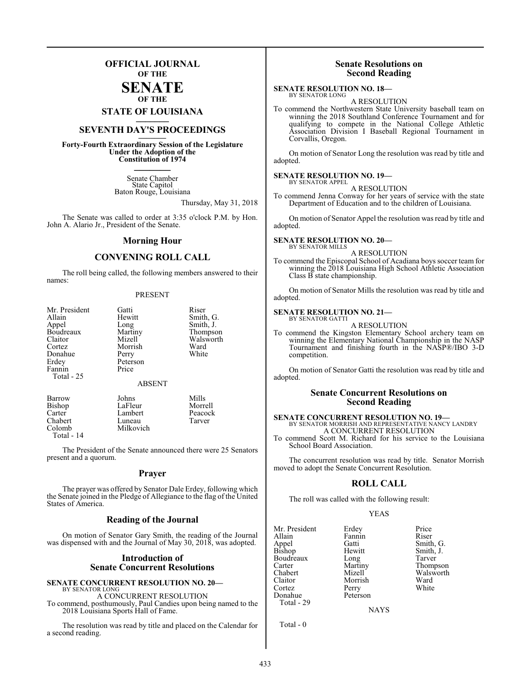## **OFFICIAL JOURNAL OF THE**

## **SENATE OF THE**

## **STATE OF LOUISIANA \_\_\_\_\_\_\_**

## **SEVENTH DAY'S PROCEEDINGS \_\_\_\_\_\_\_**

**Forty-Fourth Extraordinary Session of the Legislature Under the Adoption of the Constitution of 1974 \_\_\_\_\_\_\_**

> Senate Chamber State Capitol Baton Rouge, Louisiana

> > Thursday, May 31, 2018

The Senate was called to order at 3:35 o'clock P.M. by Hon. John A. Alario Jr., President of the Senate.

## **Morning Hour**

## **CONVENING ROLL CALL**

The roll being called, the following members answered to their names:

### PRESENT

| Mr. President                                                     | Gatti            | Riser     |
|-------------------------------------------------------------------|------------------|-----------|
| Allain                                                            | Hewitt           | Smith, G. |
| Appel                                                             | Long             | Smith, J. |
| Boudreaux                                                         | Martiny          | Thompson  |
| Claitor                                                           | Mizell           | Walsworth |
| Cortez                                                            | Morrish          | Ward      |
| Donahue                                                           | Perry            | White     |
| Erdey                                                             | Peterson         |           |
| Fannin                                                            | Price            |           |
| Total - 25                                                        |                  |           |
|                                                                   | <b>ABSENT</b>    |           |
| $\mathbf{D}_{\mathbf{a}\mathbf{r}\mathbf{r}\mathbf{a}\mathbf{W}}$ | $J_{\alpha}$ hne | Mille     |

| Barrow     | Johns     | Mills   |
|------------|-----------|---------|
| Bishop     | LaFleur   | Morrell |
| Carter     | Lambert   | Peacock |
| Chabert    | Luneau    | Tarver  |
| Colomb     | Milkovich |         |
| Total - 14 |           |         |

The President of the Senate announced there were 25 Senators present and a quorum.

## **Prayer**

The prayer was offered by Senator Dale Erdey, following which the Senate joined in the Pledge of Allegiance to the flag of the United States of America.

## **Reading of the Journal**

On motion of Senator Gary Smith, the reading of the Journal was dispensed with and the Journal of May 30, 2018, was adopted.

## **Introduction of Senate Concurrent Resolutions**

### **SENATE CONCURRENT RESOLUTION NO. 20—** BY SENATOR LONG A CONCURRENT RESOLUTION

To commend, posthumously, Paul Candies upon being named to the 2018 Louisiana Sports Hall of Fame.

The resolution was read by title and placed on the Calendar for a second reading.

## **Senate Resolutions on Second Reading**

### **SENATE RESOLUTION NO. 18—** BY SENATOR LONG

A RESOLUTION

To commend the Northwestern State University baseball team on winning the 2018 Southland Conference Tournament and for qualifying to compete in the National College Athletic Association Division I Baseball Regional Tournament in Corvallis, Oregon.

On motion of Senator Long the resolution was read by title and adopted.

### **SENATE RESOLUTION NO. 19—** BY SENATOR APPEL

A RESOLUTION

To commend Jenna Conway for her years of service with the state Department of Education and to the children of Louisiana.

On motion of Senator Appel the resolution was read by title and adopted.

### **SENATE RESOLUTION NO. 20—** BY SENATOR MILLS

A RESOLUTION

To commend the Episcopal School of Acadiana boys soccer team for winning the 2018 Louisiana High School Athletic Association Class B state championship.

On motion of Senator Mills the resolution was read by title and adopted.

### **SENATE RESOLUTION NO. 21—** BY SENATOR GATTI

A RESOLUTION

To commend the Kingston Elementary School archery team on winning the Elementary National Championship in the NASP Tournament and finishing fourth in the NASP®/IBO 3-D competition.

On motion of Senator Gatti the resolution was read by title and adopted.

## **Senate Concurrent Resolutions on Second Reading**

## **SENATE CONCURRENT RESOLUTION NO. 19—** BY SENATOR MORRISH AND REPRESENTATIVE NANCY LANDRY A CONCURRENT RESOLUTION

To commend Scott M. Richard for his service to the Louisiana School Board Association.

The concurrent resolution was read by title. Senator Morrish moved to adopt the Senate Concurrent Resolution.

## **ROLL CALL**

The roll was called with the following result:

### YEAS

| Mr. President   | Erdey    | Price     |
|-----------------|----------|-----------|
| Allain          | Fannin   | Riser     |
|                 | Gatti    | Smith, G. |
| Appel<br>Bishop | Hewitt   | Smith, J. |
| Boudreaux       | Long     | Tarver    |
| Carter          | Martiny  | Thompson  |
| Chabert         | Mizell   | Walsworth |
| Claitor         | Morrish  | Ward      |
| Cortez          | Perry    | White     |
| Donahue         | Peterson |           |
| Total - 29      |          |           |

**NAYS** 

Total - 0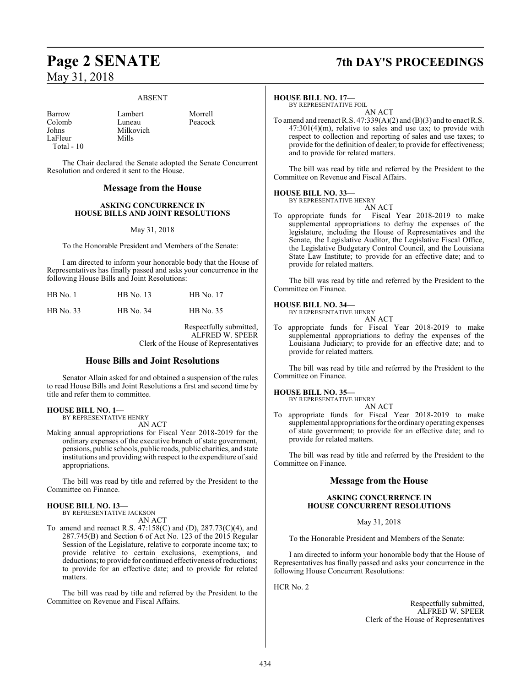### ABSENT

Johns Milkovich LaFleur Total - 10

Barrow Lambert Morrell<br>Colomb Luneau Peacock Colomb Luneau Peacock

The Chair declared the Senate adopted the Senate Concurrent Resolution and ordered it sent to the House.

## **Message from the House**

## **ASKING CONCURRENCE IN HOUSE BILLS AND JOINT RESOLUTIONS**

## May 31, 2018

To the Honorable President and Members of the Senate:

I am directed to inform your honorable body that the House of Representatives has finally passed and asks your concurrence in the following House Bills and Joint Resolutions:

| $HB$ No. 1 | HB No. 13 | <b>HB</b> No. 17 |
|------------|-----------|------------------|
| HB No. 33  | HB No. 34 | <b>HB</b> No. 35 |

Respectfully submitted, ALFRED W. SPEER Clerk of the House of Representatives

## **House Bills and Joint Resolutions**

Senator Allain asked for and obtained a suspension of the rules to read House Bills and Joint Resolutions a first and second time by title and refer them to committee.

## **HOUSE BILL NO. 1—**

BY REPRESENTATIVE HENRY AN ACT

Making annual appropriations for Fiscal Year 2018-2019 for the ordinary expenses of the executive branch of state government, pensions, public schools, public roads, public charities, and state institutions and providing with respect to the expenditure of said appropriations.

The bill was read by title and referred by the President to the Committee on Finance.

### **HOUSE BILL NO. 13—**

BY REPRESENTATIVE JACKSON AN ACT

To amend and reenact R.S. 47:158(C) and (D), 287.73(C)(4), and 287.745(B) and Section 6 of Act No. 123 of the 2015 Regular Session of the Legislature, relative to corporate income tax; to provide relative to certain exclusions, exemptions, and deductions; to provide for continued effectiveness ofreductions; to provide for an effective date; and to provide for related matters.

The bill was read by title and referred by the President to the Committee on Revenue and Fiscal Affairs.

## **Page 2 SENATE 7th DAY'S PROCEEDINGS**

### **HOUSE BILL NO. 17—**

BY REPRESENTATIVE FOIL AN ACT

To amend and reenact R.S. 47:339(A)(2) and (B)(3) and to enact R.S. 47:301(4)(m), relative to sales and use tax; to provide with respect to collection and reporting of sales and use taxes; to provide for the definition of dealer; to provide for effectiveness; and to provide for related matters.

The bill was read by title and referred by the President to the Committee on Revenue and Fiscal Affairs.

### **HOUSE BILL NO. 33—** BY REPRESENTATIVE HENRY

AN ACT

To appropriate funds for Fiscal Year 2018-2019 to make supplemental appropriations to defray the expenses of the legislature, including the House of Representatives and the Senate, the Legislative Auditor, the Legislative Fiscal Office, the Legislative Budgetary Control Council, and the Louisiana State Law Institute; to provide for an effective date; and to provide for related matters.

The bill was read by title and referred by the President to the Committee on Finance.

### **HOUSE BILL NO. 34—** BY F

| REPRESENTATIVE HENRY |        |
|----------------------|--------|
|                      | AN ACT |

To appropriate funds for Fiscal Year 2018-2019 to make supplemental appropriations to defray the expenses of the Louisiana Judiciary; to provide for an effective date; and to provide for related matters.

The bill was read by title and referred by the President to the Committee on Finance.

## **HOUSE BILL NO. 35—**

BY REPRESENTATIVE HENRY AN ACT

To appropriate funds for Fiscal Year 2018-2019 to make supplemental appropriations for the ordinaryoperating expenses of state government; to provide for an effective date; and to provide for related matters.

The bill was read by title and referred by the President to the Committee on Finance.

## **Message from the House**

## **ASKING CONCURRENCE IN HOUSE CONCURRENT RESOLUTIONS**

May 31, 2018

To the Honorable President and Members of the Senate:

I am directed to inform your honorable body that the House of Representatives has finally passed and asks your concurrence in the following House Concurrent Resolutions:

HCR No. 2

Respectfully submitted, ALFRED W. SPEER Clerk of the House of Representatives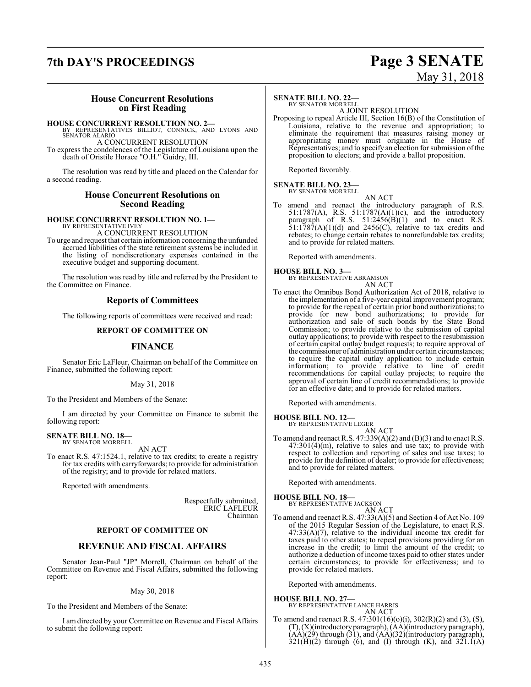## **7th DAY'S PROCEEDINGS Page 3 SENATE**

# May 31, 2018

## **House Concurrent Resolutions on First Reading**

**HOUSE CONCURRENT RESOLUTION NO. 2—** BY REPRESENTATIVES BILLIOT, CONNICK, AND LYONS AND SENATOR ALARIO

A CONCURRENT RESOLUTION

To express the condolences of the Legislature of Louisiana upon the death of Oristile Horace "O.H." Guidry, III.

The resolution was read by title and placed on the Calendar for a second reading.

## **House Concurrent Resolutions on Second Reading**

### **HOUSE CONCURRENT RESOLUTION NO. 1—** BY REPRESENTATIVE IVEY

A CONCURRENT RESOLUTION

To urge and request that certain information concerning the unfunded accrued liabilities of the state retirement systems be included in the listing of nondiscretionary expenses contained in the executive budget and supporting document.

The resolution was read by title and referred by the President to the Committee on Finance.

## **Reports of Committees**

The following reports of committees were received and read:

## **REPORT OF COMMITTEE ON**

## **FINANCE**

Senator Eric LaFleur, Chairman on behalf of the Committee on Finance, submitted the following report:

## May 31, 2018

To the President and Members of the Senate:

I am directed by your Committee on Finance to submit the following report:

## **SENATE BILL NO. 18—** BY SENATOR MORRELL

AN ACT

To enact R.S. 47:1524.1, relative to tax credits; to create a registry for tax credits with carryforwards; to provide for administration of the registry; and to provide for related matters.

Reported with amendments.

Respectfully submitted, ERIC LAFLEUR Chairman

## **REPORT OF COMMITTEE ON**

## **REVENUE AND FISCAL AFFAIRS**

Senator Jean-Paul "JP" Morrell, Chairman on behalf of the Committee on Revenue and Fiscal Affairs, submitted the following report:

## May 30, 2018

To the President and Members of the Senate:

I am directed by your Committee on Revenue and Fiscal Affairs to submit the following report:

## **SENATE BILL NO. 22—**

BY SENATOR MORRELL A JOINT RESOLUTION

Proposing to repeal Article III, Section 16(B) of the Constitution of Louisiana, relative to the revenue and appropriation; to eliminate the requirement that measures raising money or appropriating money must originate in the House of Representatives; and to specify an election for submission ofthe proposition to electors; and provide a ballot proposition.

Reported favorably.

### **SENATE BILL NO. 23—** BY SENATOR MORRELL

AN ACT

To amend and reenact the introductory paragraph of R.S. 51:1787(A), R.S. 51:1787(A)(1)(c), and the introductory paragraph of R.S.  $51:2456(B)(1)$  and to enact R.S.  $51:1787(A)(1)(d)$  and  $2456(C)$ , relative to tax credits and rebates; to change certain rebates to nonrefundable tax credits; and to provide for related matters.

Reported with amendments.

## **HOUSE BILL NO. 3—**

BY REPRESENTATIVE ABRAMSON AN ACT

To enact the Omnibus Bond Authorization Act of 2018, relative to the implementation of a five-year capital improvement program; to provide for the repeal of certain prior bond authorizations; to provide for new bond authorizations; to provide for authorization and sale of such bonds by the State Bond Commission; to provide relative to the submission of capital outlay applications; to provide with respect to the resubmission of certain capital outlay budget requests; to require approval of the commissioner of administration under certain circumstances; to require the capital outlay application to include certain information; to provide relative to line of credit recommendations for capital outlay projects; to require the approval of certain line of credit recommendations; to provide for an effective date; and to provide for related matters.

Reported with amendments.

## **HOUSE BILL NO. 12—** BY REPRESENTATIVE LEGER

AN ACT

To amend and reenact R.S. 47:339(A)(2) and (B)(3) and to enact R.S.  $47:301(4)$ (m), relative to sales and use tax; to provide with respect to collection and reporting of sales and use taxes; to provide for the definition of dealer; to provide for effectiveness; and to provide for related matters.

Reported with amendments.

### **HOUSE BILL NO. 18—** BY REPRESENTATIVE JACKSON

AN ACT

To amend and reenact R.S. 47:33(A)(5) and Section 4 of Act No. 109 of the 2015 Regular Session of the Legislature, to enact R.S. 47:33(A)(7), relative to the individual income tax credit for taxes paid to other states; to repeal provisions providing for an increase in the credit; to limit the amount of the credit; to authorize a deduction of income taxes paid to other states under certain circumstances; to provide for effectiveness; and to provide for related matters.

Reported with amendments.

**HOUSE BILL NO. 27—** BY REPRESENTATIVE LANCE HARRIS AN ACT

To amend and reenact R.S. 47:301(16)(o)(i), 302(R)(2) and (3), (S), (T),(X)(introductoryparagraph), (AA)(introductory paragraph),  $(\overrightarrow{AA})(\overrightarrow{29})$  through  $(\overrightarrow{31})$ , and  $(\overrightarrow{AA})(\overrightarrow{32})$ (introductory paragraph),  $321(\text{H})(2)$  through (6), and (I) through (K), and  $321.1(\text{A})$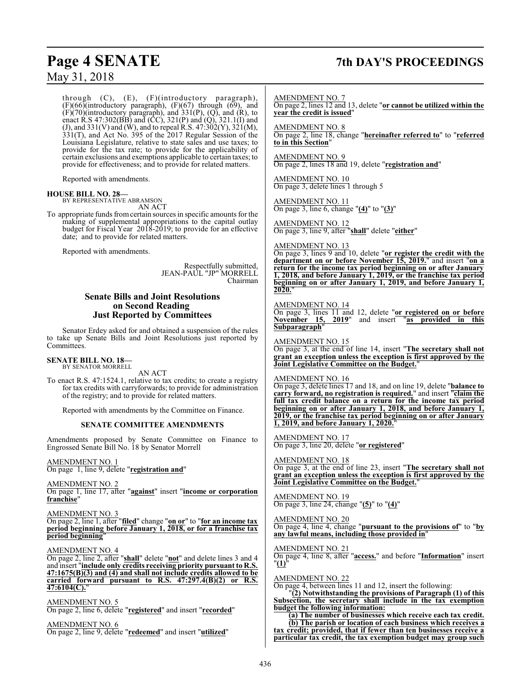## **Page 4 SENATE 7th DAY'S PROCEEDINGS**

through (C), (E), (F)(introductory paragraph),  $(F)(66)$ (introductory paragraph),  $(F)(67)$  through  $(69)$ , and  $(F)(70)$ (introductory paragraph), and 331(P), (Q), and (R), to enact R.S 47:302(BB) and (CC), 321(P) and (Q), 321.1(I) and (J), and 331(V) and (W), and to repeal R.S. 47:302(Y), 321(M), 331(T), and Act No. 395 of the 2017 Regular Session of the Louisiana Legislature, relative to state sales and use taxes; to provide for the tax rate; to provide for the applicability of certain exclusions and exemptions applicable to certain taxes; to provide for effectiveness; and to provide for related matters.

Reported with amendments.

## **HOUSE BILL NO. 28—** BY REPRESENTATIVE ABRAMSON

AN ACT

To appropriate funds fromcertain sources in specific amounts for the making of supplemental appropriations to the capital outlay budget for Fiscal Year 2018-2019; to provide for an effective date; and to provide for related matters.

Reported with amendments.

Respectfully submitted, JEAN-PAUL "JP" MORRELL Chairman

## **Senate Bills and Joint Resolutions on Second Reading Just Reported by Committees**

Senator Erdey asked for and obtained a suspension of the rules to take up Senate Bills and Joint Resolutions just reported by Committees.

## **SENATE BILL NO. 18—** BY SENATOR MORRELL

AN ACT

To enact R.S. 47:1524.1, relative to tax credits; to create a registry for tax credits with carryforwards; to provide for administration of the registry; and to provide for related matters.

Reported with amendments by the Committee on Finance.

## **SENATE COMMITTEE AMENDMENTS**

Amendments proposed by Senate Committee on Finance to Engrossed Senate Bill No. 18 by Senator Morrell

AMENDMENT NO. 1 On page 1, line 9, delete "**registration and**"

AMENDMENT NO. 2 On page 1, line 17, after "**against**" insert "**income or corporation franchise**"

AMENDMENT NO. 3

On page 2, line 1, after "**filed**" change "**on or**" to "**for an income tax period beginning before January 1, 2018, or for a franchise tax period beginning**"

AMENDMENT NO. 4

On page 2, line 2, after "**shall**" delete "**not**" and delete lines 3 and 4 and insert "**include only credits receiving priority pursuant to R.S. 47:1675(B)(3) and (4) and shall not include credits allowed to be carried forward pursuant to R.S. 47:297.4(B)(2) or R.S. 47:6104(C).**"

AMENDMENT NO. 5 On page 2, line 6, delete "**registered**" and insert "**recorded**"

AMENDMENT NO. 6 On page 2, line 9, delete "**redeemed**" and insert "**utilized**"

AMENDMENT NO. 7 On page 2, lines 12 and 13, delete "**or cannot be utilized within the year the credit is issued**"

AMENDMENT NO. 8 On page 2, line 18, change "**hereinafter referred to**" to "**referred to in this Section**"

AMENDMENT NO. 9 On page 2, lines 18 and 19, delete "**registration and**"

AMENDMENT NO. 10 On page 3, delete lines 1 through 5

AMENDMENT NO. 11 On page 3, line 6, change "**(4)**" to "**(3)**"

AMENDMENT NO. 12 On page 3, line 9, after "**shall**" delete "**either**"

AMENDMENT NO. 13

On page 3, lines 9 and 10, delete "**or register the credit with the department on or before November 15, 2019.**" and insert "**on a return for the income tax period beginning on or after January 1, 2018, and before January 1, 2019, or the franchise tax period beginning on or after January 1, 2019, and before January 1, 2020.**"

### AMENDMENT NO. 14

On page 3, lines 11 and 12, delete "**or registered on or before November 15, 2019**" and insert "**as provided in this Subparagraph**"

AMENDMENT NO. 15 On page 3, at the end of line 14, insert "**The secretary shall not grant an exception unless the exception is first approved by the Joint Legislative Committee on the Budget.**"

## AMENDMENT NO. 16

On page 3, delete lines 17 and 18, and on line 19, delete "**balance to carry forward, no registration is required.**" and insert "**claim the full tax credit balance on a return for the income tax period beginning on or after January 1, 2018, and before January 1, 2019, or the franchise tax period beginning on or after January 1, 2019, and before January 1, 2020.** 

AMENDMENT NO. 17 On page 3, line 20, delete "**or registered**"

AMENDMENT NO. 18 On page 3, at the end of line 23, insert "**The secretary shall not grant an exception unless the exception is first approved by the Joint Legislative Committee on the Budget.**"

AMENDMENT NO. 19 On page 3, line 24, change "**(5)**" to "**(4)**"

AMENDMENT NO. 20 On page 4, line 4, change "**pursuant to the provisions of**" to "**by any lawful means, including those provided in**"

AMENDMENT NO. 21 On page 4, line 8, after "**access.**" and before "**Information**" insert "**(1)**"

AMENDMENT NO. 22

On page 4, between lines 11 and 12, insert the following:

"**(2) Notwithstanding the provisions of Paragraph (1) of this Subsection, the secretary shall include in the tax exemption budget the following information:**

**(a) The number of businesses which receive each tax credit. (b) The parish or location of each business which receives a tax credit; provided, that if fewer than ten businesses receive a particular tax credit, the tax exemption budget may group such**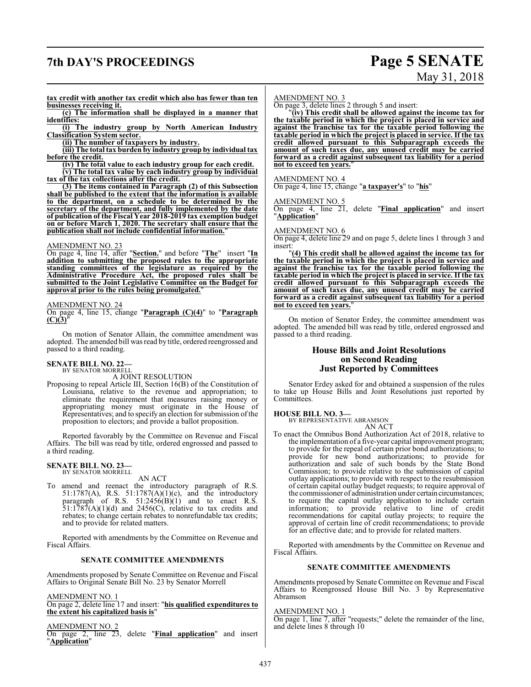## **7th DAY'S PROCEEDINGS Page 5 SENATE**

# May 31, 2018

**tax credit with another tax credit which also has fewer than ten businesses receiving it.**

**(c) The information shall be displayed in a manner that identifies:**

**(i) The industry group by North American Industry Classification System sector.**

**(ii) The number of taxpayers by industry.**

**(iii) The total tax burden by industry group by individual tax before the credit.**

**(iv) The total value to each industry group for each credit.**

**(v) The total tax value by each industry group by individual tax of the tax collections after the credit.**

**(3) The items contained in Paragraph (2) of this Subsection shall be published to the extent that the information is available to the department, on a schedule to be determined by the secretary of the department, and fully implemented by the date of publication of the Fiscal Year 2018-2019 tax exemption budget on or before March 1, 2020. The secretary shall ensure that the publication shall not include confidential information.**"

## AMENDMENT NO. 23

On page 4, line 14, after "**Section.**" and before "**The**" insert "**In addition to submitting the proposed rules to the appropriate standing committees of the legislature as required by the Administrative Procedure Act, the proposed rules shall be submitted to the Joint Legislative Committee on the Budget for approval prior to the rules being promulgated.**"

## AMENDMENT NO. 24

On page 4, line 15, change "**Paragraph (C)(4)**" to "**Paragraph**  $(C)(3)$ 

On motion of Senator Allain, the committee amendment was adopted. The amended bill was read by title, ordered reengrossed and passed to a third reading.

### **SENATE BILL NO. 22—** BY SENATOR MORRELL

A JOINT RESOLUTION

Proposing to repeal Article III, Section 16(B) of the Constitution of Louisiana, relative to the revenue and appropriation; to eliminate the requirement that measures raising money or appropriating money must originate in the House of Representatives; and to specify an election for submission ofthe proposition to electors; and provide a ballot proposition.

Reported favorably by the Committee on Revenue and Fiscal Affairs. The bill was read by title, ordered engrossed and passed to a third reading.

## **SENATE BILL NO. 23—** BY SENATOR MORRELL

AN ACT

To amend and reenact the introductory paragraph of R.S. 51:1787(A), R.S. 51:1787(A)(1)(c), and the introductory paragraph of R.S.  $51:2456(B)(1)$  and to enact R.S.  $51:1787(A)(1)(d)$  and  $2456(C)$ , relative to tax credits and rebates; to change certain rebates to nonrefundable tax credits; and to provide for related matters.

Reported with amendments by the Committee on Revenue and Fiscal Affairs.

## **SENATE COMMITTEE AMENDMENTS**

Amendments proposed by Senate Committee on Revenue and Fiscal Affairs to Original Senate Bill No. 23 by Senator Morrell

AMENDMENT NO. 1

On page 2, delete line 17 and insert: "**his qualified expenditures to the extent his capitalized basis is**"

AMENDMENT NO. 2

On page 2, line 23, delete "**Final application**" and insert "**Application**"

### AMENDMENT NO. 3

On page 3, delete lines 2 through 5 and insert:

"**(iv) This credit shall be allowed against the income tax for the taxable period in which the project is placed in service and against the franchise tax for the taxable period following the taxable period in which the project is placed in service. If the tax credit allowed pursuant to this Subparagraph exceeds the amount of such taxes due, any unused credit may be carried forward as a credit against subsequent tax liability for a period not to exceed ten years.**"

## AMENDMENT NO. 4

On page 4, line 15, change "**a taxpayer's**" to "**his**"

## AMENDMENT NO. 5

On page 4, line 21, delete "**Final application**" and insert "**Application**"

### AMENDMENT NO. 6

On page 4, delete line 29 and on page 5, delete lines 1 through 3 and insert:

"**(4) This credit shall be allowed against the income tax for the taxable period in which the project is placed in service and against the franchise tax for the taxable period following the taxable period in which the project is placed in service. If the tax credit allowed pursuant to this Subparagraph exceeds the amount of such taxes due, any unused credit may be carried forward as a credit against subsequent tax liability for a period not to exceed ten years.**"

On motion of Senator Erdey, the committee amendment was adopted. The amended bill was read by title, ordered engrossed and passed to a third reading.

## **House Bills and Joint Resolutions on Second Reading Just Reported by Committees**

Senator Erdey asked for and obtained a suspension of the rules to take up House Bills and Joint Resolutions just reported by Committees.

## **HOUSE BILL NO. 3—**

BY REPRESENTATIVE ABRAMSON AN ACT

To enact the Omnibus Bond Authorization Act of 2018, relative to the implementation of a five-year capital improvement program; to provide for the repeal of certain prior bond authorizations; to provide for new bond authorizations; to provide for authorization and sale of such bonds by the State Bond Commission; to provide relative to the submission of capital outlay applications; to provide with respect to the resubmission of certain capital outlay budget requests; to require approval of the commissioner of administration under certain circumstances; to require the capital outlay application to include certain information; to provide relative to line of credit recommendations for capital outlay projects; to require the approval of certain line of credit recommendations; to provide for an effective date; and to provide for related matters.

Reported with amendments by the Committee on Revenue and Fiscal Affairs.

## **SENATE COMMITTEE AMENDMENTS**

Amendments proposed by Senate Committee on Revenue and Fiscal Affairs to Reengrossed House Bill No. 3 by Representative Abramson

## AMENDMENT NO. 1

On page 1, line 7, after "requests;" delete the remainder of the line, and delete lines 8 through 10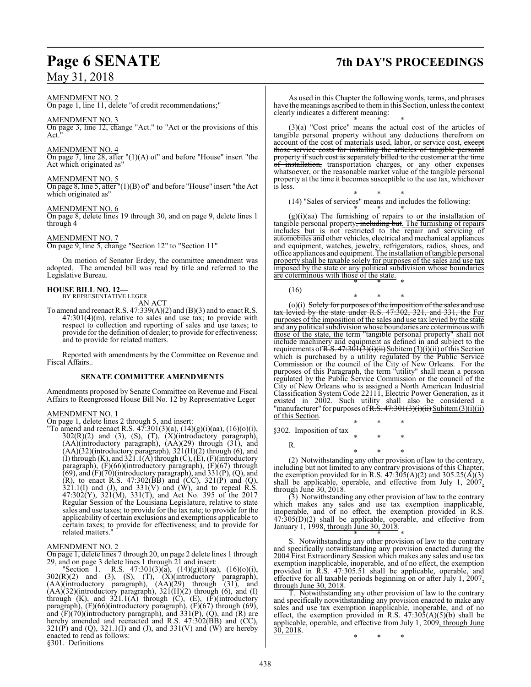## AMENDMENT NO. 2

On page 1, line 11, delete "of credit recommendations;"

## AMENDMENT NO. 3

On page 3, line 12, change "Act." to "Act or the provisions of this Act."

## AMENDMENT NO. 4

On page 7, line 28, after "(1)(A) of" and before "House" insert "the Act which originated as"

## AMENDMENT NO. 5

On page 8, line 5, after "(1)(B) of" and before "House" insert "the Act which originated as"

## AMENDMENT NO. 6

On page 8, delete lines 19 through 30, and on page 9, delete lines 1 through 4

## AMENDMENT NO. 7

On page 9, line 5, change "Section 12" to "Section 11"

On motion of Senator Erdey, the committee amendment was adopted. The amended bill was read by title and referred to the Legislative Bureau.

## **HOUSE BILL NO. 12—** BY REPRESENTATIVE LEGER

AN ACT

To amend and reenact R.S.  $47:339(A)(2)$  and  $(B)(3)$  and to enact R.S.  $47:301(4)(m)$ , relative to sales and use tax; to provide with respect to collection and reporting of sales and use taxes; to provide for the definition of dealer; to provide for effectiveness; and to provide for related matters.

Reported with amendments by the Committee on Revenue and Fiscal Affairs..

## **SENATE COMMITTEE AMENDMENTS**

Amendments proposed by Senate Committee on Revenue and Fiscal Affairs to Reengrossed House Bill No. 12 by Representative Leger

## AMENDMENT NO. 1

On page 1, delete lines 2 through 5, and insert:

"To amend and reenact R.S.  $47:301(3)(a)$ ,  $(14)(g)(i)(aa)$ ,  $(16)(o)(i)$ ,  $302(R)(2)$  and  $(3)$ ,  $(S)$ ,  $(T)$ ,  $(X)(introducing)$  paragraph), (AA)(introductory paragraph), (AA)(29) through (31), and  $(AA)(32)$ (introductory paragraph),  $321(H)(2)$  through (6), and (I) through  $(K)$ , and  $321.1(A)$  through  $(C)$ ,  $(E)$ ,  $(F)$ (introductory paragraph), (F)(66)(introductory paragraph), (F)(67) through  $(69)$ , and  $(F)(70)$ (introductory paragraph), and  $331(P)$ ,  $(Q)$ , and (R), to enact R.S. 47:302( $\overline{B}B$ ) and  $\overline{CC}$ ), 321( $\overline{P}$ ) and (Q),  $321.1(I)$  and (J), and  $331(V)$  and (W), and to repeal R.S. 47:302(Y), 321(M), 331(T), and Act No. 395 of the 2017 Regular Session of the Louisiana Legislature, relative to state sales and use taxes; to provide for the tax rate; to provide for the applicability of certain exclusions and exemptions applicable to certain taxes; to provide for effectiveness; and to provide for related matters."

## AMENDMENT NO. 2

On page 1, delete lines 7 through 20, on page 2 delete lines 1 through 29, and on page 3 delete lines 1 through 21 and insert:

"Section 1. R.S. 47:301(3)(a),  $(14)(g)(i)(aa)$ ,  $(16)(o)(i)$ ,  $302(R)(2)$  and  $(3)$ ,  $(S)$ ,  $(T)$ ,  $(X)$ (introductory paragraph), (AA)(introductory paragraph), (AA)(29) through (31), and  $(AA)(32)$ (introductory paragraph),  $321(H)(2)$  through (6), and (I) through  $(K)$ , and  $321.1(A)$  through  $(C)$ ,  $(E)$ ,  $(F)$ (introductory paragraph), (F)(66)(introductory paragraph), (F)(67) through (69), and  $(F)(70)$ (introductory paragraph), and 331 $(P)$ ,  $(Q)$ , and  $(R)$  are hereby amended and reenacted and R.S. 47:302(BB) and (CC),  $321(P)$  and (Q),  $321.1(I)$  and (J), and  $331(V)$  and (W) are hereby enacted to read as follows:

§301. Definitions

## **Page 6 SENATE 7th DAY'S PROCEEDINGS**

As used in this Chapter the following words, terms, and phrases have the meanings ascribed to themin this Section, unless the context clearly indicates a different meaning: \* \* \*

(3)(a) "Cost price" means the actual cost of the articles of tangible personal property without any deductions therefrom on account of the cost of materials used, labor, or service cost, except those service costs for installing the articles of tangible personal property if such cost is separately billed to the customer at the time of installation, transportation charges, or any other expenses whatsoever, or the reasonable market value of the tangible personal property at the time it becomes susceptible to the use tax, whichever is less.

\* \* \* (14) "Sales of services" means and includes the following:

\* \* \*  $(g)(i)(aa)$  The furnishing of repairs to  $or$  the installation of</u> tangible personal property, including but. The furnishing of repairs includes but is not restricted to the repair and servicing of automobiles and other vehicles, electrical and mechanical appliances and equipment, watches, jewelry, refrigerators, radios, shoes, and office appliances and equipment. The installation oftangible personal property shall be taxable solely for purposes of the sales and use tax imposed by the state or any political subdivision whose boundaries are coterminous with those of the state. \* \* \*

(16)

\* \* \* (o)(i) Solely for purposes of the imposition of the sales and use tax levied by the state under R.S. 47:302, 321, and 331, the For purposes of the imposition of the sales and use tax levied by the state and any political subdivision whose boundaries are coterminous with those of the state, the term "tangible personal property" shall not include machinery and equipment as defined in and subject to the requirements of R.S.  $47:301(3)(i)(ii)$  Subitem(3)(i)(ii) of this Section which is purchased by a utility regulated by the Public Service Commission or the council of the City of New Orleans. For the purposes of this Paragraph, the term "utility" shall mean a person regulated by the Public Service Commission or the council of the City of New Orleans who is assigned a North American Industrial Classification System Code 22111, Electric Power Generation, as it existed in 2002. Such utility shall also be considered a "manufacturer" for purposes of R.S.  $47:301(3)(i)(ii)$  Subitem (3)(i)(ii) of this Section.

\* \* \* §302. Imposition of tax \* \* \*

R.

\* \* \* (2) Notwithstanding any other provision of law to the contrary, including but not limited to any contrary provisions of this Chapter, the exemption provided for in R.S.  $47:305(A)(2)$  and  $305.25(A)(3)$ shall be applicable, operable, and effective from July 1,  $2007$ , through June 30, 2018.

(3) Notwithstanding any other provision of law to the contrary which makes any sales and use tax exemption inapplicable, inoperable, and of no effect, the exemption provided in R.S. 47:305(D)(2) shall be applicable, operable, and effective from January 1, 1998, through June 30, 2018.

\* \* \* S. Notwithstanding any other provision of law to the contrary and specifically notwithstanding any provision enacted during the 2004 First Extraordinary Session which makes any sales and use tax exemption inapplicable, inoperable, and of no effect, the exemption provided in R.S. 47:305.51 shall be applicable, operable, and effective for all taxable periods beginning on or after July 1, 2007, through June 30, 2018.

T. Notwithstanding any other provision of law to the contrary and specifically notwithstanding any provision enacted to make any sales and use tax exemption inapplicable, inoperable, and of no effect, the exemption provided in R.S.  $47:30\overline{5}(A)(5)(b)$  shall be applicable, operable, and effective from July 1, 2009, through June 30, 2018.

\* \* \*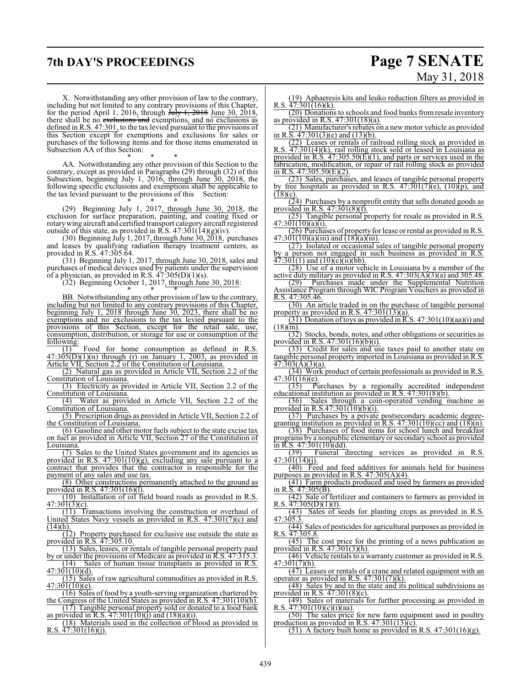## **7th DAY'S PROCEEDINGS Page 7 SENATE**

X. Notwithstanding any other provision of law to the contrary, including but not limited to any contrary provisions of this Chapter, for the period April 1, 2016, through  $\frac{\text{fuly 1, 2018 June 30, 2018}}{\text{fump 1, 2018}}$ there shall be no exclusions and exemptions, and no exclusions as defined in R.S. 47:301, to the tax levied pursuant to the provisions of this Section except for exemptions and exclusions for sales or purchases of the following items and for those items enumerated in Subsection AA of this Section:

\* \* \* AA. Notwithstanding any other provision of this Section to the contrary, except as provided in Paragraphs (29) through (32) of this Subsection, beginning July 1, 2016, through June 30, 2018, the following specific exclusions and exemptions shall be applicable to the tax levied pursuant to the provisions of this Section:

\* \* \* (29) Beginning July 1, 2017, through June 30, 2018, the exclusion for surface preparation, painting, and coating fixed or rotarywing aircraft and certified transport category aircraft registered outside of this state, as provided in R.S.  $47:301(14)(g)(iv)$ .

(30) Beginning July 1, 2017, through June  $30, 2018$ , purchases and leases by qualifying radiation therapy treatment centers, as provided in R.S. 47:305.64.

(31) Beginning July 1, 2017, through June 30, 2018, sales and purchases of medical devices used by patients under the supervision of a physician, as provided in R.S.  $47:305(D)(1)(s)$ .

(32) Beginning October 1, 2017, through June 30, 2018:

\* \* \* BB. Notwithstanding any other provision of law to the contrary, including but not limited to any contrary provisions of this Chapter, beginning July 1, 2018 through June 30, 2023, there shall be no exemptions and no exclusions to the tax levied pursuant to the provisions of this Section, except for the retail sale, use, consumption, distribution, or storage for use or consumption of the following:

(1) Food for home consumption as defined in R.S.  $47:305(D)(1)(n)$  through (r) on January 1, 2003, as provided in Article VII, Section 2.2 of the Constitution of Louisiana.

(2) Natural gas as provided in Article VII, Section 2.2 of the Constitution of Louisiana.

(3) Electricity as provided in Article VII, Section 2.2 of the Constitution of Louisiana.

(4) Water as provided in Article VII, Section 2.2 of the Constitution of Louisiana.

(5) Prescription drugs as provided in Article VII, Section 2.2 of the Constitution of Louisiana.

(6) Gasoline and other motor fuels subject to the state excise tax on fuel as provided in Article VII, Section 27 of the Constitution of Louisiana.

(7) Sales to the United States government and its agencies as provided in R.S. 47:301(10)(g), excluding any sale pursuant to a contract that provides that the contractor is responsible for the payment of any sales and use tax.

(8) Other constructions permanently attached to the ground as provided in R.S. 47:301(16)(l).

(10) Installation of oil field board roads as provided in R.S.  $47:301(3)(c)$ .

(11) Transactions involving the construction or overhaul of United States Navy vessels as provided in R.S. 47:301(7)(c) and  $(14)(h)$ .

(12) Property purchased for exclusive use outside the state as provided in R.S. 47:305.10.

(13) Sales, leases, or rentals of tangible personal property paid by or under the provisions of Medicare as provided in R.S. 47:315.3.

(14) Sales of human tissue transplants as provided in R.S. 47:301(10)(d).

(15) Sales of raw agricultural commodities as provided in R.S. 47:301(10)(e).

(16) Sales of food by a youth-serving organization chartered by the Congress of the United States as provided in R.S. 47:301(10)(h).

(17) Tangible personal property sold or donated to a food bank as provided in R.S.  $47:301(10)(j)$  and  $(18)(a)(i)$ .

(18) Materials used in the collection of blood as provided in R.S. 47:301(16)(j).

# May 31, 2018

(19) Aphaeresis kits and leuko reduction filters as provided in R.S.  $47:301(16)(k)$ .

(20) Donations to schools and food banks fromresale inventory as provided in R.S. 47:301(18)(a).

(21) Manufacturer's rebates on a new motor vehicle as provided in R.S.  $47:301(3)$ (e) and  $(13)$ (b).

(22) Leases or rentals of railroad rolling stock as provided in R.S.  $\overline{47:301(4)(k)}$ , rail rolling stock sold or leased in Louisiana as provided in  $R.S. 47:305.50(E)(1)$ , and parts or services used in the fabrication, modification, or repair of rail rolling stock as provided in R.S.  $47:305.50(E)(2)$ .

(23) Sales, purchases, and leases of tangible personal property by free hospitals as provided in R.S.  $47:301(7)(e)$ ,  $(10)(p)$ , and  $(18)(c)$ .

 $(24)$  Purchases by a nonprofit entity that sells donated goods as provided in R.S. 47:301(8)(f).

(25) Tangible personal property for resale as provided in R.S.  $47:301(10)(a)(i)$ .

(26) Purchases of property for lease orrental as provided in R.S.  $47:301(10)(a)(iii)$  and  $(18)(a)(iii)$ .

(27) Isolated or occasional sales of tangible personal property by a person not engaged in such business as provided in R.S.  $\overline{47:301(1)}$  and  $\overline{(10)}(c)(ii)(bb)$ .

(28) Use of a motor vehicle in Louisiana by a member of the active duty military as provided in R.S.  $47:303(A)(3)(a)$  and 305.48.

(29) Purchases made under the Supplemental Nutrition Assistance Program through WIC Program Vouchers as provided in R.S. 47:305.46.

(30) An article traded in on the purchase of tangible personal property as provided in R.S. 47:301(13)(a).

(31) Donation of toys as provided in R.S.  $47:301(10)(aa)(i)$  and  $(18)(m)$ .

(32) Stocks, bonds, notes, and other obligations or securities as provided in R.S. 47:301(16)(b)(i).

(33) Credit for sales and use taxes paid to another state on tangible personal property imported in Louisiana as provided in R.S. 47:303(A)(3)(a).

(34) Work product of certain professionals as provided in R.S.  $47:301(16)(e)$ .

(35) Purchases by a regionally accredited independent educational institution as provided in R.S. 47:301(8)(b).

(36) Sales through a coin-operated vending machine as provided in R.S.47:301(10)(b)(i).

(37) Purchases by a private postsecondary academic degreegranting institution as provided in R.S.  $47:301(10)(cc)$  and  $(18)(n)$ .

(38) Purchases of food items for school lunch and breakfast programs by a nonpublic elementary or secondary school as provided

 $\frac{\text{in R.S. 47:301(10)(dd)}}{(39)}$  Funeral directing services as provided in R.S. 47:301(14)(j).

(40) Feed and feed additives for animals held for business purposes as provided in R.S.  $47:305(A)(4)$ .

(41) Farm products produced and used by farmers as provided in R.S. 47:305(B).

(42) Sale of fertilizer and containers to farmers as provided in R.S.  $47:305(D)(1)(f)$ .

(43) Sales of seeds for planting crops as provided in R.S. 47:305.3.

 $\overline{(44)}$  Sales of pesticides for agricultural purposes as provided in R.S.  $47:305.8$ .

(45) The cost price for the printing of a news publication as provided in R.S. 47:301(3)(h).

(46) Vehicle rentals to a warranty customer as provided in R.S.  $47:301(7)(h)$ .

 $\overline{(47)}$  Leases or rentals of a crane and related equipment with an operator as provided in R.S.  $47:301(7)(k)$ .

(48) Sales by and to the state and its political subdivisions as provided in R.S.  $47:301(8)(c)$ .

(49) Sales of materials for further processing as provided in R.S.  $47:301(10)(c)(i)(aa)$ .

(50) The sales price for new farm equipment used in poultry production as provided in R.S. 47:301(13)(c).

(51) A factory built home as provided in R.S.  $47:301(16)(g)$ .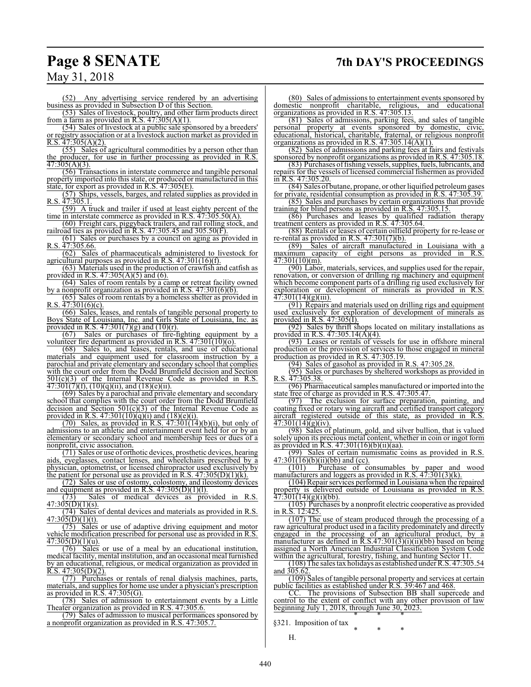## **Page 8 SENATE 7th DAY'S PROCEEDINGS**

May 31, 2018

(52) Any advertising service rendered by an advertising business as provided in Subsection D of this Section.

(53) Sales of livestock, poultry, and other farm products direct from a farm as provided in R.S.  $47:305(A)(1)$ .

(54) Sales of livestock at a public sale sponsored by a breeders' or registry association or at a livestock auction market as provided in  $R.S. 47:305(A)(2)$ .

(55) Sales of agricultural commodities by a person other than the producer, for use in further processing as provided in R.S. 47:305(A)(3).

(56) Transactions in interstate commerce and tangible personal property imported into this state, or produced or manufactured in this state, for export as provided in R.S. 47:305(E).

(57) Ships, vessels, barges, and related supplies as provided in R.S.  $47:305.1$ .

(59) A truck and trailer if used at least eighty percent of the time in interstate commerce as provided in R.S. 47:305.50(A).

(60) Freight cars, piggyback trailers, and rail rolling stock, and railroad ties as provided in R.S. 47:305.45 and 305.50(F).

(61) Sales or purchases by a council on aging as provided in R.S. 47:305.66.

(62) Sales of pharmaceuticals administered to livestock for agricultural purposes as provided in R.S. 47:301(16)(f).

(63) Materials used in the production of crawfish and catfish as provided in R.S.  $47:305(A)(5)$  and (6).

(64) Sales of room rentals by a camp or retreat facility owned

by a nonprofit organization as provided in R.S. 47:301(6)(b). (65) Sales of room rentals by a homeless shelter as provided in R.S.  $47:301(6)(c)$ .

(66) Sales, leases, and rentals of tangible personal property to Boys State of Louisiana, Inc. and Girls State of Louisiana, Inc. as provided in R.S.  $47:301(7)(g)$  and  $(10)(r)$ .

(67) Sales or purchases of fire-fighting equipment by a volunteer fire department as provided in R.S. 47:301(10)(o).

(68) Sales to, and leases, rentals, and use of educational materials and equipment used for classroom instruction by a parochial and private elementary and secondary school that complies with the court order from the Dodd Brumfield decision and Section 501(c)(3) of the Internal Revenue Code as provided in R.S.  $\overline{47:301(7)}$ (f),  $(10)(q)$ (ii), and  $(18)(e)$ (ii).

(69) Sales by a parochial and private elementary and secondary school that complies with the court order from the Dodd Brumfield decision and Section  $501(c)(3)$  of the Internal Revenue Code as provided in R.S.  $47:301(10)(q)(i)$  and  $(18)(e)(i)$ .

 $(70)$  Sales, as provided in R.S.  $47:301(14)(b)(i)$ , but only of admissions to an athletic and entertainment event held for or by an elementary or secondary school and membership fees or dues of a nonprofit, civic association.

(71) Sales or use of orthotic devices, prosthetic devices, hearing aids, eyeglasses, contact lenses, and wheelchairs prescribed by a physician, optometrist, or licensed chiropractor used exclusively by the patient for personal use as provided in R.S.  $47:305(D)(1)(k)$ .

(72) Sales or use of ostomy, colostomy, and ileostomy devices and equipment as provided in R.S.  $47:305(D)(1)(1)$ .

(73) Sales of medical devices as provided in R.S.  $47:305(D)(1)(s)$ .

(74) Sales of dental devices and materials as provided in R.S.  $47:305(D)(1)(t)$ .

 $\overline{(75)}$  Sales or use of adaptive driving equipment and motor vehicle modification prescribed for personal use as provided in R.S.  $\overline{47:305(D)}(1)(u)$ .

(76) Sales or use of a meal by an educational institution, medical facility, mental institution, and an occasional meal furnished by an educational, religious, or medical organization as provided in  $R.S. 47:305(D)(2)$ .

(77) Purchases or rentals of renal dialysis machines, parts, materials, and supplies for home use under a physician's prescription as provided in R.S. 47:305(G).

(78) Sales of admission to entertainment events by a Little Theater organization as provided in R.S. 47:305.6.

(79) Sales of admission to musical performances sponsored by a nonprofit organization as provided in R.S. 47:305.7.

(80) Sales of admissions to entertainment events sponsored by domestic nonprofit charitable, religious, and educational organizations as provided in R.S. 47:305.13.

(81) Sales of admissions, parking fees, and sales of tangible personal property at events sponsored by domestic, civic educational, historical, charitable, fraternal, or religious nonprofit organizations as provided in R.S.  $47:305.14(A)(1)$ .

(82) Sales of admissions and parking fees at fairs and festivals sponsored by nonprofit organizations as provided in R.S. 47:305.18. (83) Purchases offishing vessels, supplies, fuels, lubricants, and

repairs for the vessels of licensed commercial fishermen as provided in R.S. 47:305.20.

(84) Sales of butane, propane, or other liquified petroleumgases for private, residential consumption as provided in R.S. 47:305.39. (85) Sales and purchases by certain organizations that provide

training for blind persons as provided in R.S. 47:305.15.

(86) Purchases and leases by qualified radiation therapy treatment centers as provided in R.S. 47:305.64.

(88) Rentals or leases of certain oilfield property for re-lease or re-rental as provided in R.S.  $47:301(7)(b)$ .<br>(89) Sales of aircraft manufacture

Sales of aircraft manufactured in Louisiana with a maximum capacity of eight persons as provided in R.S. 47:301(10)(m).

(90) Labor, materials, services, and supplies used for the repair, renovation, or conversion of drilling rig machinery and equipment which become component parts of a drilling rig used exclusively for exploration or development of minerals as provided in R.S. 47:301(14)(g)(iii).

(91) Repairs and materials used on drilling rigs and equipment used exclusively for exploration of development of minerals as provided in R.S. 47:305(I).

(92) Sales by thrift shops located on military installations as provided in R.S. 47:305.14(A)(4).

(93) Leases or rentals of vessels for use in offshore mineral production or the provision of services to those engaged in mineral production as provided in R.S. 47:305.19.

(94) Sales of gasohol as provided in R.S. 47:305.28.

(95) Sales or purchases by sheltered workshops as provided in R.S. 47:305.38.

(96) Pharmaceutical samples manufactured or imported into the state free of charge as provided in R.S. 47:305.47.

(97) The exclusion for surface preparation, painting, and coating fixed or rotary wing aircraft and certified transport category aircraft registered outside of this state, as provided in R.S.  $47:301(14)(g)(iv)$ .

(98) Sales of platinum, gold, and silver bullion, that is valued solely upon its precious metal content, whether in coin or ingot form as provided in R.S.  $47:301(16)(b)(ii)(aa)$ .<br>(99) Sales of certain numismatic c

Sales of certain numismatic coins as provided in R.S.  $47:301(16)(b)(ii)(bb)$  and (cc).

(101) Purchase of consumables by paper and wood manufacturers and loggers as provided in R.S. 47:301(3)(k).

(104) Repair services performed in Louisiana when the repaired property is delivered outside of Louisiana as provided in R.S.  $47:301(14)(g)(i)(bb)$ .

(105) Purchases by a nonprofit electric cooperative as provided in R.S. 12:425.

(107) The use of steam produced through the processing of a raw agricultural product used in a facility predominately and directly engaged in the processing of an agricultural product, by a manufacturer as defined in R.S.47:301(3)(i)(ii)(bb) based on being assigned a North American Industrial Classification System Code within the agricultural, forestry, fishing, and hunting Sector 11.

(108) The sales tax holidays as established under R.S. 47:305.54 and  $305.62$ .

(109) Sales of tangible personal property and services at certain public facilities as established under R.S. 39:467 and 468.

CC. The provisions of Subsection BB shall supercede and control to the extent of conflict with any other provision of law beginning July 1, 2018, through June 30, 2023. \* \* \*

\* \* \*

§321. Imposition of tax

H.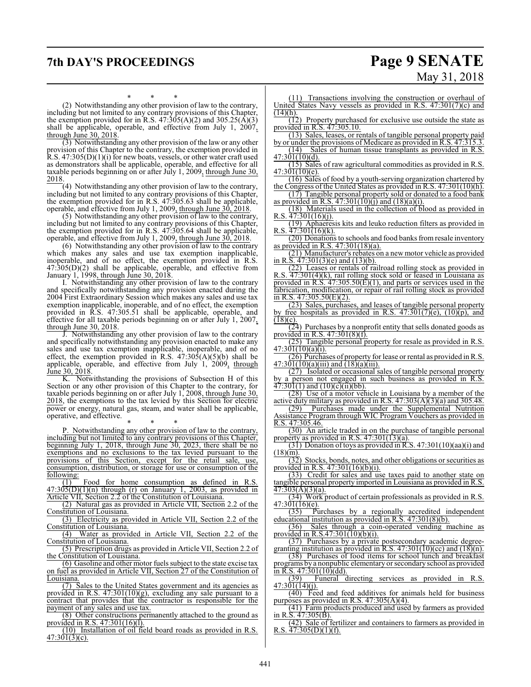## **7th DAY'S PROCEEDINGS Page 9 SENATE**

# May 31, 2018

\* \* \* (2) Notwithstanding any other provision of law to the contrary, including but not limited to any contrary provisions of this Chapter, the exemption provided for in R.S.  $47:305(A)(2)$  and  $305.25(A)(3)$ shall be applicable, operable, and effective from July 1, 2007, through June 30, 2018.

(3) Notwithstanding any other provision of the law or any other provision of this Chapter to the contrary, the exemption provided in R.S. 47:305(D)(1)(i) for new boats, vessels, or other water craft used as demonstrators shall be applicable, operable, and effective for all taxable periods beginning on or after July 1, 2009, through June 30, 2018.

(4) Notwithstanding any other provision of law to the contrary, including but not limited to any contrary provisions of this Chapter, the exemption provided for in R.S. 47:305.63 shall be applicable, operable, and effective from July 1, 2009, through June 30, 2018.

(5) Notwithstanding any other provision of law to the contrary, including but not limited to any contrary provisions of this Chapter, the exemption provided for in R.S. 47:305.64 shall be applicable, operable, and effective from July 1, 2009, through June 30, 2018.

(6) Notwithstanding any other provision of law to the contrary which makes any sales and use tax exemption inapplicable, inoperable, and of no effect, the exemption provided in R.S.  $47:305(D)(2)$  shall be applicable, operable, and effective from January 1, 1998, through June 30, 2018.

I. Notwithstanding any other provision of law to the contrary and specifically notwithstanding any provision enacted during the 2004 First Extraordinary Session which makes any sales and use tax exemption inapplicable, inoperable, and of no effect, the exemption provided in R.S. 47:305.51 shall be applicable, operable, and effective for all taxable periods beginning on or after July 1, 2007, through June 30, 2018.

J. Notwithstanding any other provision of law to the contrary and specifically notwithstanding any provision enacted to make any sales and use tax exemption inapplicable, inoperable, and of no effect, the exemption provided in R.S.  $47:30\overline{5}(A)(5)(b)$  shall be applicable, operable, and effective from July 1, 2009, through June 30, 2018.

K. Notwithstanding the provisions of Subsection H of this Section or any other provision of this Chapter to the contrary, for taxable periods beginning on or after July 1, 2008, through June 30, 2018, the exemptions to the tax levied by this Section for electric power or energy, natural gas, steam, and water shall be applicable, operative, and effective.

\* \* \*

P. Notwithstanding any other provision of law to the contrary, including but not limited to any contrary provisions of this Chapter, beginning July 1, 2018, through June 30, 2023, there shall be no exemptions and no exclusions to the tax levied pursuant to the provisions of this Section, except for the retail sale, use, consumption, distribution, or storage for use or consumption of the following:

(1) Food for home consumption as defined in R.S.  $47:30\overline{5(D)}(1)(n)$  through (r) on January 1, 2003, as provided in Article VII, Section 2.2 of the Constitution of Louisiana.

(2) Natural gas as provided in Article VII, Section 2.2 of the Constitution of Louisiana.

(3) Electricity as provided in Article VII, Section 2.2 of the Constitution of Louisiana.

(4) Water as provided in Article VII, Section 2.2 of the Constitution of Louisiana.

(5) Prescription drugs as provided in Article VII, Section 2.2 of the Constitution of Louisiana.

(6) Gasoline and other motor fuels subject to the state excise tax on fuel as provided in Article VII, Section 27 of the Constitution of Louisiana.

(7) Sales to the United States government and its agencies as provided in R.S. 47:301(10)(g), excluding any sale pursuant to a contract that provides that the contractor is responsible for the payment of any sales and use tax.

(8) Other constructions permanently attached to the ground as provided in R.S. 47:301(16)(l).

(10) Installation of oil field board roads as provided in R.S.  $47:301(3)(c)$ .

(11) Transactions involving the construction or overhaul of United States Navy vessels as provided in R.S. 47:301(7)(c) and  $(14)(h)$ .

(12) Property purchased for exclusive use outside the state as provided in R.S. 47:305.10.

(13) Sales, leases, or rentals of tangible personal property paid by or under the provisions of Medicare as provided in R.S. 47:315.3. (14) Sales of human tissue transplants as provided in R.S.

 $47:301(10)(d)$ . (15) Sales of raw agricultural commodities as provided in R.S.

47:30<del>1(10)(e).</del>

(16) Sales of food by a youth-serving organization chartered by the Congress of the United States as provided in R.S. 47:301(10)(h). (17) Tangible personal property sold or donated to a food bank

as provided in R.S.  $47:301(10)(i)$  and  $(18)(a)(i)$ .

(18) Materials used in the collection of blood as provided in R.S. 47:301(16)(j).

(19) Aphaeresis kits and leuko reduction filters as provided in R.S.  $\frac{47:301(16)(k)}{k}$ .

(20) Donations to schools and food banks fromresale inventory as provided in R.S. 47:301(18)(a).

(21) Manufacturer's rebates on a new motor vehicle as provided in R.S. 47:301(3)(e) and (13)(b).

(22) Leases or rentals of railroad rolling stock as provided in R.S.  $\overline{47:301(4)}$ (k), rail rolling stock sold or leased in Louisiana as provided in R.S. 47:305.50(E)(1), and parts or services used in the fabrication, modification, or repair of rail rolling stock as provided in R.S.  $47:305.50(E)(2)$ .

(23) Sales, purchases, and leases of tangible personal property by free hospitals as provided in R.S.  $47:301(7)(e)$ ,  $(10)(p)$ , and  $(18)(c)$ .

 $(24)$  Purchases by a nonprofit entity that sells donated goods as provided in R.S. 47:301(8)(f).

(25) Tangible personal property for resale as provided in R.S. 47:301(10)(a)(i).

(26) Purchases of property for lease or rental as provided in R.S.  $47:301(10)(a)(iii)$  and  $(18)(a)(iii)$ .

(27) Isolated or occasional sales of tangible personal property by a person not engaged in such business as provided in R.S.  $\frac{3}{47:301(1)}$  and  $\frac{10}{(c)}$ (ii)(bb).

(28) Use of a motor vehicle in Louisiana by a member of the active duty military as provided in R.S.  $47:303(A)(3)(a)$  and 305.48.

(29) Purchases made under the Supplemental Nutrition Assistance Program through WIC Program Vouchers as provided in R.S. 47:305.46.

(30) An article traded in on the purchase of tangible personal property as provided in R.S. 47:301(13)(a).

 $(31)$  Donation of toys as provided in R.S. 47:301(10)(aa)(i) and  $(18)(m)$ .

(32) Stocks, bonds, notes, and other obligations or securities as provided in R.S. 47:301(16)(b)(i).

(33) Credit for sales and use taxes paid to another state on tangible personal property imported in Louisiana as provided in R.S. 47:303(A)(3)(a).

(34) Work product of certain professionals as provided in R.S.  $\frac{47:301(16)(e)}{(35)}$  Pu

Purchases by a regionally accredited independent educational institution as provided in R.S.  $47:301(8)(b)$ .<br>(36) Sales through a coin-operated vending n

Sales through a coin-operated vending machine as provided in R.S.47:301(10)(b)(i).

(37) Purchases by a private postsecondary academic degreegranting institution as provided in R.S.  $47:301(10)(cc)$  and  $(18)(n)$ .

(38) Purchases of food items for school lunch and breakfast programs by a nonpublic elementary or secondary school as provided in R.S.  $47:301(10)(dd)$ .

(39) Funeral directing services as provided in R.S.  $47:301(14)(j).$ 

(40) Feed and feed additives for animals held for business purposes as provided in R.S.  $47:305(A)(4)$ .

(41) Farm products produced and used by farmers as provided in R.S.  $47:305(B)$ .

(42) Sale of fertilizer and containers to farmers as provided in R.S.  $47:305(D)(1)(f)$ .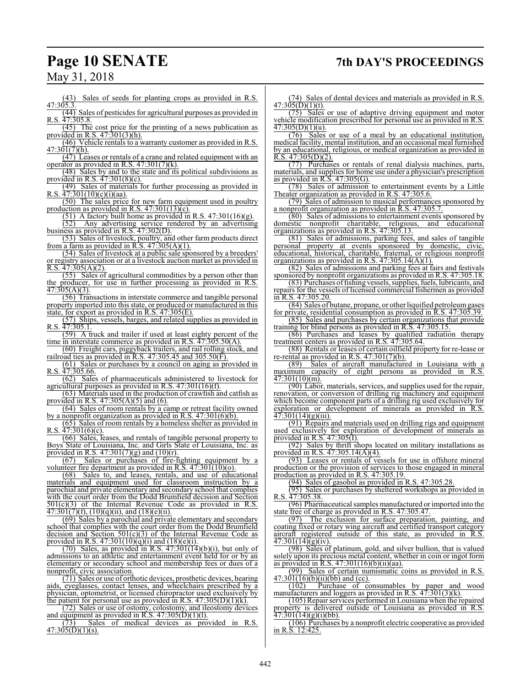## **Page 10 SENATE 7th DAY'S PROCEEDINGS**

May 31, 2018

(43) Sales of seeds for planting crops as provided in R.S. 47:305.3.

(44) Sales of pesticides for agricultural purposes as provided in R.S. 47:305.8.

(45) The cost price for the printing of a news publication as provided in R.S. 47:301(3)(h).

(46) Vehicle rentals to a warranty customer as provided in R.S.  $47:301(7)(h)$ .

(47) Leases or rentals of a crane and related equipment with an operator as provided in R.S.  $47:301(7)(k)$ .

(48) Sales by and to the state and its political subdivisions as provided in R.S. 47:301(8)(c).

(49) Sales of materials for further processing as provided in R.S. 47:301(10)(c)(i)(aa).

(50) The sales price for new farm equipment used in poultry production as provided in R.S. 47:301(13)(c).

(51) A factory built home as provided in R.S. 47:301(16)(g).

Any advertising service rendered by an advertising business as provided in R.S. 47:302(D).

(53) Sales of livestock, poultry, and other farm products direct from a farm as provided in R.S.  $47:305(A)(1)$ .

(54) Sales of livestock at a public sale sponsored by a breeders' or registry association or at a livestock auction market as provided in R.S.  $47:305(A)(2)$ .

(55) Sales of agricultural commodities by a person other than the producer, for use in further processing as provided in R.S.  $47:305(A)(3)$ .

(56) Transactions in interstate commerce and tangible personal property imported into this state, or produced or manufactured in this state, for export as provided in R.S. 47:305(E).

(57) Ships, vessels, barges, and related supplies as provided in R.S. 47:305.1.

(59) A truck and trailer if used at least eighty percent of the time in interstate commerce as provided in R.S. 47:305.50(A).

(60) Freight cars, piggyback trailers, and rail rolling stock, and railroad ties as provided in R.S. 47:305.45 and 305.50(F).

(61) Sales or purchases by a council on aging as provided in R.S. 47:305.66.

(62) Sales of pharmaceuticals administered to livestock for agricultural purposes as provided in R.S. 47:301(16)(f).

(63) Materials used in the production of crawfish and catfish as provided in R.S. 47:305(A)(5) and (6).

(64) Sales of room rentals by a camp or retreat facility owned by a nonprofit organization as provided in R.S. 47:301(6)(b).

(65) Sales of room rentals by a homeless shelter as provided in R.S.  $\frac{\lambda}{47:301(6)(c)}$ .

(66) Sales, leases, and rentals of tangible personal property to Boys State of Louisiana, Inc. and Girls State of Louisiana, Inc. as provided in R.S.  $47:301(7)(g)$  and  $(10)(r)$ .

(67) Sales or purchases of fire-fighting equipment by a volunteer fire department as provided in R.S.  $47:301(10)(o)$ .<br>(68) Sales to, and leases, rentals, and use of educ

Sales to, and leases, rentals, and use of educational materials and equipment used for classroom instruction by a parochial and private elementary and secondary school that complies with the court order from the Dodd Brumfield decision and Section  $501(c)(3)$  of the Internal Revenue Code as provided in R.S.  $47:301(7)(f), (10)(q)(ii),$  and  $(18)(e)(ii)$ .

(69) Sales by a parochial and private elementary and secondary school that complies with the court order from the Dodd Brumfield decision and Section 501(c)(3) of the Internal Revenue Code as provided in R.S.  $47:301(10)(q)(i)$  and  $(18)(e)(i)$ .

 $(70)$  Sales, as provided in R.S.  $47:301(14)(b)(i)$ , but only of admissions to an athletic and entertainment event held for or by an elementary or secondary school and membership fees or dues of a nonprofit, civic association.

(71) Sales or use of orthotic devices, prosthetic devices, hearing aids, eyeglasses, contact lenses, and wheelchairs prescribed by a physician, optometrist, or licensed chiropractor used exclusively by the patient for personal use as provided in R.S.  $47:305(D)(1)(k)$ .

(72) Sales or use of ostomy, colostomy, and ileostomy devices and equipment as provided in R.S.  $47:305(D)(1)(1)$ .<br>(73) Sales of medical devices as pro-

of medical devices as provided in R.S.  $47:305(D)(1)(s)$ .

(74) Sales of dental devices and materials as provided in R.S.  $47:305(D)(1)(t)$ .

 $(75)$  Sales or use of adaptive driving equipment and motor vehicle modification prescribed for personal use as provided in R.S.  $47:305(D)(1)(u)$ .

 $(76)$  Sales or use of a meal by an educational institution, medical facility, mental institution, and an occasional meal furnished by an educational, religious, or medical organization as provided in R.S.  $47:305(D)(2)$ .

(77) Purchases or rentals of renal dialysis machines, parts, materials, and supplies for home use under a physician's prescription as provided in R.S. 47:305(G).

(78) Sales of admission to entertainment events by a Little Theater organization as provided in R.S. 47:305.6.

(79) Sales of admission to musical performances sponsored by a nonprofit organization as provided in R.S. 47:305.7.

(80) Sales of admissions to entertainment events sponsored by<br>estic nonprofit charitable, religious, and educational domestic nonprofit charitable, religious, and educational organizations as provided in R.S. 47:305.13.

(81) Sales of admissions, parking fees, and sales of tangible personal property at events sponsored by domestic, civic educational, historical, charitable, fraternal, or religious nonprofit organizations as provided in R.S.  $47:305.14(A)(1)$ .

(82) Sales of admissions and parking fees at fairs and festivals sponsored by nonprofit organizations as provided in R.S. 47:305.18.

(83) Purchases offishing vessels, supplies, fuels, lubricants, and repairs for the vessels of licensed commercial fishermen as provided in R.S. 47:305.20.

(84) Sales of butane, propane, or other liquified petroleumgases for private, residential consumption as provided in R.S. 47:305.39.

(85) Sales and purchases by certain organizations that provide training for blind persons as provided in R.S. 47:305.15.

(86) Purchases and leases by qualified radiation therapy treatment centers as provided in R.S. 47:305.64.

(88) Rentals or leases of certain oilfield property for re-lease or re-rental as provided in R.S. 47:301(7)(b).

(89) Sales of aircraft manufactured in Louisiana with a maximum capacity of eight persons as provided in R.S.  $47:301(10)(m)$ .

(90) Labor, materials, services, and supplies used for the repair, renovation, or conversion of drilling rig machinery and equipment which become component parts of a drilling rig used exclusively for exploration or development of minerals as provided in R.S.  $\overline{47:301(14)}(g)(iii)$ .

(91) Repairs and materials used on drilling rigs and equipment used exclusively for exploration of development of minerals as provided in R.S. 47:305(I).

(92) Sales by thrift shops located on military installations as provided in R.S. 47:305.14(A)(4).

(93) Leases or rentals of vessels for use in offshore mineral production or the provision of services to those engaged in mineral production as provided in R.S. 47:305.19.

(94) Sales of gasohol as provided in R.S. 47:305.28.

(95) Sales or purchases by sheltered workshops as provided in R.S.  $\overline{47:305.38}$ .

(96) Pharmaceutical samples manufactured or imported into the state free of charge as provided in R.S. 47:305.47.

(97) The exclusion for surface preparation, painting, and coating fixed or rotary wing aircraft and certified transport category aircraft registered outside of this state, as provided in R.S.  $47:301(14)(g)(iv)$ .

(98) Sales of platinum, gold, and silver bullion, that is valued solely upon its precious metal content, whether in coin or ingot form as provided in R.S. 47:301(16)(b)(ii)(aa).

(99) Sales of certain numismatic coins as provided in R.S.  $\frac{47:301(16)(b)(ii)(bb)}{(102)}$  Purchase of co

Purchase of consumables by paper and wood manufacturers and loggers as provided in R.S. 47:301(3)(k).

(105) Repair services performed in Louisiana when the repaired property is delivered outside of Louisiana as provided in R.S.  $47:301(14)(g)(i)(bb)$ .

(106) Purchases by a nonprofit electric cooperative as provided in R.S. 12:425.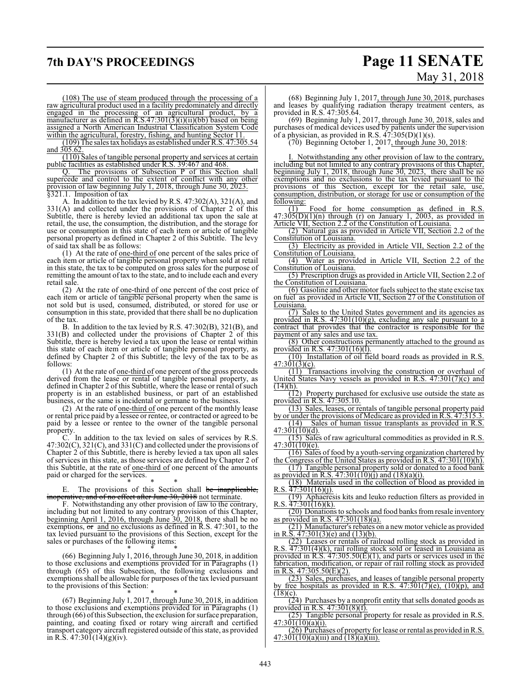## **7th DAY'S PROCEEDINGS Page 11 SENATE** May 31, 2018

(108) The use of steam produced through the processing of a raw agricultural product used in a facility predominately and directly engaged in the processing of an agricultural product, by a manufacturer as defined in R.S.47:301(3)(i)(ii)(bb) based on being assigned a North American Industrial Classification System Code within the agricultural, forestry, fishing, and hunting Sector 11.

(109) The sales tax holidays as established under R.S. 47:305.54 and 305.62

(110) Sales of tangible personal property and services at certain public facilities as established under R.S. 39:467 and 468.

Q. The provisions of Subsection P of this Section shall supercede and control to the extent of conflict with any other provision of law beginning July 1, 2018, through June 30, 2023. §321.1. Imposition of tax

A. In addition to the tax levied by R.S. 47:302(A), 321(A), and  $331(A)$  and collected under the provisions of Chapter 2 of this Subtitle, there is hereby levied an additional tax upon the sale at retail, the use, the consumption, the distribution, and the storage for use or consumption in this state of each item or article of tangible personal property as defined in Chapter 2 of this Subtitle. The levy of said tax shall be as follows:

(1) At the rate of one-third of one percent of the sales price of each item or article of tangible personal property when sold at retail in this state, the tax to be computed on gross sales for the purpose of remitting the amount of tax to the state, and to include each and every retail sale.

(2) At the rate of one-third of one percent of the cost price of each item or article of tangible personal property when the same is not sold but is used, consumed, distributed, or stored for use or consumption in this state, provided that there shall be no duplication of the tax.

B. In addition to the tax levied by R.S. 47:302(B), 321(B), and 331(B) and collected under the provisions of Chapter 2 of this Subtitle, there is hereby levied a tax upon the lease or rental within this state of each item or article of tangible personal property, as defined by Chapter 2 of this Subtitle; the levy of the tax to be as follows:

 $(1)$  At the rate of <u>one-third of</u> one percent of the gross proceeds derived from the lease or rental of tangible personal property, as defined in Chapter 2 of this Subtitle, where the lease or rental of such property is in an established business, or part of an established business, or the same is incidental or germane to the business.

(2) At the rate of one-third of one percent of the monthly lease or rental price paid by a lessee or rentee, or contracted or agreed to be paid by a lessee or rentee to the owner of the tangible personal property.

In addition to the tax levied on sales of services by R.S. 47:302(C), 321(C), and 331(C) and collected under the provisions of Chapter 2 of this Subtitle, there is hereby levied a tax upon all sales of services in this state, as those services are defined by Chapter 2 of this Subtitle, at the rate of one-third of one percent of the amounts paid or charged for the services.

\* \* \* The provisions of this Section shall be inapplicable, inoperative, and of no effect after June 30, 2018 not terminate.

F. Notwithstanding any other provision of law to the contrary, including but not limited to any contrary provision of this Chapter, beginning April 1, 2016, through June 30, 2018, there shall be no exemptions, or and no exclusions as defined in R.S. 47:301, to the tax levied pursuant to the provisions of this Section, except for the sales or purchases of the following items:

\* \* \* (66) Beginning July 1, 2016, through June 30, 2018, in addition to those exclusions and exemptions provided for in Paragraphs (1) through (65) of this Subsection, the following exclusions and exemptions shall be allowable for purposes of the tax levied pursuant to the provisions of this Section:

\* \* \* (67) Beginning July 1, 2017, through June 30, 2018, in addition to those exclusions and exemptions provided for in Paragraphs (1) through (66) ofthis Subsection, the exclusion for surface preparation, painting, and coating fixed or rotary wing aircraft and certified transport category aircraft registered outside ofthis state, as provided in R.S.  $47:30\overline{1}(14)(g)(iv)$ .

(68) Beginning July 1, 2017, through June 30, 2018, purchases and leases by qualifying radiation therapy treatment centers, as provided in R.S. 47:305.64.

(69) Beginning July 1, 2017, through June 30, 2018, sales and purchases of medical devices used by patients under the supervision of a physician, as provided in R.S.  $47:305(D)(1)(s)$ .

 $(70)$  Beginning October 1, 2017, through June 30, 2018:

\* \* \* I. Notwithstanding any other provision of law to the contrary, including but not limited to any contrary provisions of this Chapter, beginning July 1, 2018, through June 30, 2023, there shall be no exemptions and no exclusions to the tax levied pursuant to the provisions of this Section, except for the retail sale, use, consumption, distribution, or storage for use or consumption of the  $\frac{\text{following:}}{\text{(1)}}$ 

Food for home consumption as defined in R.S.  $47:30\frac{5(D)}{(D)}$ (1)(n) through (r) on January 1, 2003, as provided in Article VII, Section 2.2 of the Constitution of Louisiana.

(2) Natural gas as provided in Article VII, Section 2.2 of the Constitution of Louisiana.

(3) Electricity as provided in Article VII, Section 2.2 of the Constitution of Louisiana.<br>(4) Water as provi

Water as provided in Article VII, Section 2.2 of the Constitution of Louisiana.

(5) Prescription drugs as provided in Article VII, Section 2.2 of the Constitution of Louisiana.

(6) Gasoline and other motor fuels subject to the state excise tax on fuel as provided in Article VII, Section 27 of the Constitution of Louisiana.

(7) Sales to the United States government and its agencies as provided in R.S. 47:301(10)(g), excluding any sale pursuant to a contract that provides that the contractor is responsible for the payment of any sales and use tax.

(8) Other constructions permanently attached to the ground as provided in R.S. 47:301(16)(l).

(10) Installation of oil field board roads as provided in R.S.  $47:301(3)(c)$ .

(11) Transactions involving the construction or overhaul of United States Navy vessels as provided in R.S. 47:301(7)(c) and  $\frac{(14)(h)}{(12)}$ 

Property purchased for exclusive use outside the state as provided in R.S. 47:305.10.

(13) Sales, leases, or rentals of tangible personal property paid by or under the provisions of Medicare as provided in R.S. 47:315.3. (14) Sales of human tissue transplants as provided in R.S.

47:301(10)(d). (15) Sales of raw agricultural commodities as provided in R.S.

 $47:301(10)(e)$ . (16) Sales of food by a youth-serving organization chartered by

the Congress of the United States as provided in R.S. 47:301(10)(h). (17) Tangible personal property sold or donated to a food bank as provided in R.S.  $47:301(10)(j)$  and  $(18)(a)(i)$ .

(18) Materials used in the collection of blood as provided in R.S.  $\frac{47:301(16)(i)}{i}$ .

(19) Aphaeresis kits and leuko reduction filters as provided in R.S.  $\frac{47:301(16)(k)}{k}$ .

(20) Donations to schools and food banks fromresale inventory as provided in R.S. 47:301(18)(a).

(21) Manufacturer's rebates on a newmotor vehicle as provided in R.S. 47:301(3)(e) and (13)(b).

(22) Leases or rentals of railroad rolling stock as provided in R.S.  $\overline{47:301(4)(k)}$ , rail rolling stock sold or leased in Louisiana as provided in R.S.  $47:305.50(E)(1)$ , and parts or services used in the fabrication, modification, or repair of rail rolling stock as provided in R.S. 47:305.50(E)(2).

(23) Sales, purchases, and leases of tangible personal property by free hospitals as provided in R.S. 47:301(7)(e), (10)(p), and  $(18)(c)$ .

 $(24)$  Purchases by a nonprofit entity that sells donated goods as provided in R.S. 47:301(8)(f).

(25) Tangible personal property for resale as provided in R.S.  $47:301(10)(a)(i)$ .

(26) Purchases of property for lease or rental as provided in R.S.  $47:301(10)(a)(iii)$  and  $(18)(a)(iii)$ .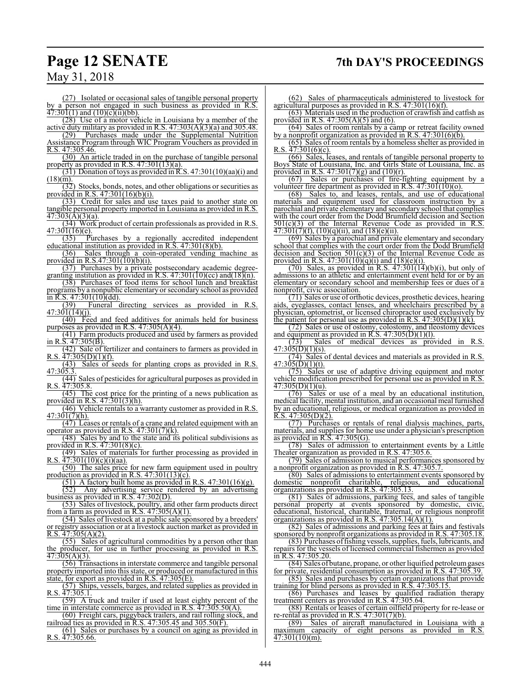## **Page 12 SENATE 7th DAY'S PROCEEDINGS**

## May 31, 2018

(27) Isolated or occasional sales of tangible personal property by a person not engaged in such business as provided in R.S.  $47:301(1)$  and  $(10)(c)(ii)(bb)$ .

(28) Use of a motor vehicle in Louisiana by a member of the

active duty military as provided in R.S.  $47:303(A)(3)(a)$  and 305.48.<br>(29) Purchases made under the Supplemental Nutrition Purchases made under the Supplemental Nutrition Assistance Program through WIC Program Vouchers as provided in R.S. 47:305.46.

(30) An article traded in on the purchase of tangible personal property as provided in R.S. 47:301(13)(a).

(31) Donation of toys as provided in R.S. 47:301(10)(aa)(i) and  $(18)(\overline{m})$ 

(32) Stocks, bonds, notes, and other obligations or securities as provided in R.S. 47:301(16)(b)(i).

(33) Credit for sales and use taxes paid to another state on tangible personal property imported in Louisiana as provided in R.S.  $47:303(A)(3)(a)$ .

(34) Work product of certain professionals as provided in R.S. 47:301(16)(e).

(35) Purchases by a regionally accredited independent educational institution as provided in R.S. 47:301(8)(b).

(36) Sales through a coin-operated vending machine as provided in R.S.47:301(10)(b)(i).

(37) Purchases by a private postsecondary academic degreegranting institution as provided in R.S.  $47:301(10)(cc)$  and  $(18)(n)$ .

(38) Purchases of food items for school lunch and breakfast programs by a nonpublic elementary or secondary school as provided  $\frac{\ln R.S. 47:301(10)(dd)}{(39)}$  Funeral

Funeral directing services as provided in R.S.  $47:301(14)(j).$ 

(40) Feed and feed additives for animals held for business purposes as provided in R.S.  $47:305(A)(4)$ .

(41) Farm products produced and used by farmers as provided in R.S. 47:305(B).

(42) Sale of fertilizer and containers to farmers as provided in R.S.  $\frac{47:305(D)(1)(f)}{2}$ .

(43) Sales of seeds for planting crops as provided in R.S. 47:305.3.

(44) Sales of pesticides for agricultural purposes as provided in R.S. 47:305.8.

(45) The cost price for the printing of a news publication as provided in R.S. 47:301(3)(h).

(46) Vehicle rentals to a warranty customer as provided in R.S. 47:301(7)(h).

(47) Leases or rentals of a crane and related equipment with an operator as provided in R.S.  $47:301(7)(k)$ .

(48) Sales by and to the state and its political subdivisions as provided in R.S.  $47:301(8)(c)$ .<br>(49) Sales of materials f

Sales of materials for further processing as provided in R.S. 47:301(10)(c)(i)(aa).

(50) The sales price for new farm equipment used in poultry production as provided in  $R.S. 47:301(13)(c)$ .

 $(51)$  A factory built home as provided in R.S. 47:301(16)(g).<br>(52) Any advertising service rendered by an advertisin

Any advertising service rendered by an advertising business as provided in R.S. 47:302(D).

(53) Sales of livestock, poultry, and other farm products direct from a farm as provided in R.S.  $47:305(A)(1)$ .

(54) Sales of livestock at a public sale sponsored by a breeders' or registry association or at a livestock auction market as provided in R.S.  $47:305(A)(2)$ .

(55) Sales of agricultural commodities by a person other than the producer, for use in further processing as provided in R.S. 47:305(A)(3).

(56) Transactions in interstate commerce and tangible personal property imported into this state, or produced or manufactured in this state, for export as provided in R.S. 47:305(E).

(57) Ships, vessels, barges, and related supplies as provided in R.S. 47:305.1.

(59) A truck and trailer if used at least eighty percent of the time in interstate commerce as provided in R.S. 47:305.50(A).

(60) Freight cars, piggyback trailers, and rail rolling stock, and railroad ties as provided in R.S. 47:305.45 and 305.50(F).

(61) Sales or purchases by a council on aging as provided in R.S. 47:305.66.

(62) Sales of pharmaceuticals administered to livestock for agricultural purposes as provided in R.S. 47:301(16)(f).

(63) Materials used in the production of crawfish and catfish as provided in R.S. 47:305(A)(5) and (6).

(64) Sales of room rentals by a camp or retreat facility owned by a nonprofit organization as provided in R.S.  $47:301(6)(6)$ .

(65) Sales of room rentals by a homeless shelter as provided in R.S.  $47:301(6)(c)$ .

(66) Sales, leases, and rentals of tangible personal property to Boys State of Louisiana, Inc. and Girls State of Louisiana, Inc. as provided in R.S.  $47:301(7)(g)$  and  $(10)(r)$ .

(67) Sales or purchases of fire-fighting equipment by a volunteer fire department as provided in R.S.  $47.301(10)(o)$ .

(68) Sales to, and leases, rentals, and use of educational materials and equipment used for classroom instruction by a parochial and private elementary and secondary school that complies with the court order from the Dodd Brumfield decision and Section  $501(c)(3)$  of the Internal Revenue Code as provided in R.S.  $501(c)(3)$  of the Internal Revenue Code as provided in  $\frac{47:301(7)(f)}{10(1)(g)(ii)}$ , and  $\frac{18}{(e)(ii)}$ .

(69) Sales by a parochial and private elementary and secondary school that complies with the court order from the Dodd Brumfield decision and Section  $501(c)(3)$  of the Internal Revenue Code as provided in R.S.  $47:301(10)(q)(i)$  and  $(18)(e)(i)$ .

 $(70)$  Sales, as provided in R.S.  $47:301(14)(b)(i)$ , but only of admissions to an athletic and entertainment event held for or by an elementary or secondary school and membership fees or dues of a nonprofit, civic association.

(71) Sales or use of orthotic devices, prosthetic devices, hearing aids, eyeglasses, contact lenses, and wheelchairs prescribed by a physician, optometrist, or licensed chiropractor used exclusively by the patient for personal use as provided in R.S.  $47:305(D)(1)(k)$ .

(72) Sales or use of ostomy, colostomy, and ileostomy devices and equipment as provided in R.S.  $47:305(D)(1)(1)$ .

(73) Sales of medical devices as provided in R.S.  $47:305(D)(1)(s)$ .

(74) Sales of dental devices and materials as provided in R.S.  $47:305(D)(1)(t)$ .

(75) Sales or use of adaptive driving equipment and motor vehicle modification prescribed for personal use as provided in R.S.  $\frac{47:305(D)(1)(u)}{(76)}$ . Sales

Sales or use of a meal by an educational institution, medical facility, mental institution, and an occasional meal furnished by an educational, religious, or medical organization as provided in R.S.  $47:305(D)(2)$ .

(77) Purchases or rentals of renal dialysis machines, parts, materials, and supplies for home use under a physician's prescription as provided in R.S. 47:305(G).

(78) Sales of admission to entertainment events by a Little Theater organization as provided in R.S. 47:305.6.

(79) Sales of admission to musical performances sponsored by a nonprofit organization as provided in R.S. 47:305.7.

(80) Sales of admissions to entertainment events sponsored by domestic nonprofit charitable, religious, and educational organizations as provided in R.S. 47:305.13.

(81) Sales of admissions, parking fees, and sales of tangible personal property at events sponsored by domestic, civic, educational, historical, charitable, fraternal, or religious nonprofit organizations as provided in R.S. 47:305.14(A)(1).

(82) Sales of admissions and parking fees at fairs and festivals sponsored by nonprofit organizations as provided in R.S. 47:305.18.

(83) Purchases offishing vessels, supplies, fuels, lubricants, and repairs for the vessels of licensed commercial fishermen as provided in R.S. 47:305.20.

(84) Sales of butane, propane, or other liquified petroleumgases for private, residential consumption as provided in R.S. 47:305.39.

(85) Sales and purchases by certain organizations that provide training for blind persons as provided in R.S. 47:305.15.

(86) Purchases and leases by qualified radiation therapy treatment centers as provided in R.S. 47:305.64.

(88) Rentals or leases of certain oilfield property for re-lease or

re-rental as provided in R.S.  $47:301(7)(b)$ .<br>(89) Sales of aircraft manufacture Sales of aircraft manufactured in Louisiana with maximum capacity of eight persons as provided in R.S. 47:301(10)(m).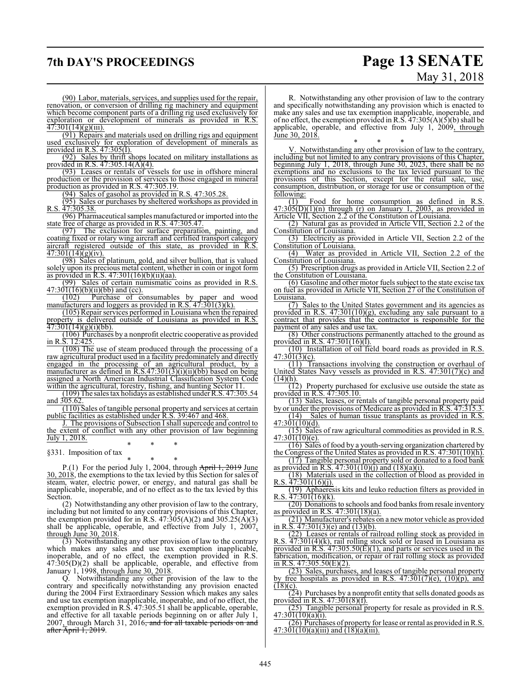## **7th DAY'S PROCEEDINGS Page 13 SENATE**

# May 31, 2018

(90) Labor, materials, services, and supplies used for the repair, renovation, or conversion of drilling rig machinery and equipment which become component parts of a drilling rig used exclusively for exploration or development of minerals as provided in R.S.  $47:301(14)(g)(iii)$ .

(91) Repairs and materials used on drilling rigs and equipment used exclusively for exploration of development of minerals as provided in R.S. 47:305(I).

(92) Sales by thrift shops located on military installations as provided in R.S. 47:305.14(A)(4).

(93) Leases or rentals of vessels for use in offshore mineral production or the provision of services to those engaged in mineral production as provided in R.S. 47:305.19.

(94) Sales of gasohol as provided in R.S. 47:305.28.

(95) Sales or purchases by sheltered workshops as provided in R.S. 47:305.38.

(96) Pharmaceutical samples manufactured or imported into the state free of charge as provided in R.S. 47:305.47.

(97) The exclusion for surface preparation, painting, and coating fixed or rotary wing aircraft and certified transport category aircraft registered outside of this state, as provided in R.S.  $\frac{47:301(14)(g)(iv)}{47:301(14)(g)(iv)}$ .

(98) Sales of platinum, gold, and silver bullion, that is valued solely upon its precious metal content, whether in coin or ingot form as provided in R.S.  $47:301(16)(b)(ii)(aa)$ .

(99) Sales of certain numismatic coins as provided in R.S.  $\frac{47:301(16)(b)(ii)(bb)}{(102)}$  Purchase of co

Purchase of consumables by paper and wood manufacturers and loggers as provided in R.S. 47:301(3)(k).

(105) Repair services performed in Louisiana when the repaired property is delivered outside of Louisiana as provided in R.S.  $\overline{47:301(14)(g)(i)(bb)}$ .

(106) Purchases by a nonprofit electric cooperative as provided in R.S. 12:425.

(108) The use of steam produced through the processing of a raw agricultural product used in a facility predominately and directly engaged in the processing of an agricultural product, by a manufacturer as defined in  $R.S.47:301(3)(i)(ii)(bb)$  based on being assigned a North American Industrial Classification System Code within the agricultural, forestry, fishing, and hunting Sector 11.

(109) The sales tax holidays as established under R.S. 47:305.54 and  $305.62$ 

(110) Sales of tangible personal property and services at certain public facilities as established under R.S. 39:467 and 468.

J. The provisions of Subsection I shall supercede and control to the extent of conflict with any other provision of law beginning July 1, 2018. \* \* \*

§331. Imposition of tax

\* \* \* P.(1) For the period July 1, 2004, through April 1, 2019 June 30, 2018, the exemptions to the tax levied by this Section for sales of steam, water, electric power, or energy, and natural gas shall be inapplicable, inoperable, and of no effect as to the tax levied by this Section.

(2) Notwithstanding any other provision of law to the contrary, including but not limited to any contrary provisions of this Chapter, the exemption provided for in R.S.  $47:305(A)(2)$  and  $305.25(A)(3)$ shall be applicable, operable, and effective from July 1, 2007, through June 30, 2018.

(3) Notwithstanding any other provision of law to the contrary which makes any sales and use tax exemption inapplicable, inoperable, and of no effect, the exemption provided in R.S. 47:305(D)(2) shall be applicable, operable, and effective from January 1, 1998, through June 30, 2018.

Q. Notwithstanding any other provision of the law to the contrary and specifically notwithstanding any provision enacted during the 2004 First Extraordinary Session which makes any sales and use tax exemption inapplicable, inoperable, and of no effect, the exemption provided in R.S. 47:305.51 shall be applicable, operable, and effective for all taxable periods beginning on or after July 1, 2007, through March 31,  $2016$ , and for all taxable periods on and after April 1, 2019.

R. Notwithstanding any other provision of law to the contrary and specifically notwithstanding any provision which is enacted to make any sales and use tax exemption inapplicable, inoperable, and of no effect, the exemption provided in R.S.  $47:305(A)(5)(b)$  shall be applicable, operable, and effective from July 1, 2009, through June 30, 2018.

\* \* \* V. Notwithstanding any other provision of law to the contrary, including but not limited to any contrary provisions of this Chapter, beginning July 1, 2018, through June 30, 2023, there shall be no exemptions and no exclusions to the tax levied pursuant to the provisions of this Section, except for the retail sale, use, consumption, distribution, or storage for use or consumption of the following:

 $\overline{(1)}$  Food for home consumption as defined in R.S.  $47:30\overline{5(D)(1)(n)}$  through (r) on January 1, 2003, as provided in Article VII, Section 2.2 of the Constitution of Louisiana.<br>(2) Natural gas as provided in Article VII, Section

(2) Natural gas as provided in Article VII, Section 2.2 of the Constitution of Louisiana.

(3) Electricity as provided in Article VII, Section 2.2 of the Constitution of Louisiana.

(4) Water as provided in Article VII, Section 2.2 of the Constitution of Louisiana.

(5) Prescription drugs as provided in Article VII, Section 2.2 of the Constitution of Louisiana.

(6) Gasoline and other motor fuels subject to the state excise tax on fuel as provided in Article VII, Section 27 of the Constitution of Louisiana.

(7) Sales to the United States government and its agencies as provided in R.S. 47:301(10)(g), excluding any sale pursuant to a contract that provides that the contractor is responsible for the payment of any sales and use tax.

(8) Other constructions permanently attached to the ground as provided in R.S. 47:301(16)(l).

(10) Installation of oil field board roads as provided in R.S.  $47:301(3)(c)$ .

(11) Transactions involving the construction or overhaul of United States Navy vessels as provided in R.S. 47:301(7)(c) and (14)(h).

(12) Property purchased for exclusive use outside the state as provided in R.S. 47:305.10.

(13) Sales, leases, or rentals of tangible personal property paid by or under the provisions of Medicare as provided in R.S. 47:315.3.

(14) Sales of human tissue transplants as provided in R.S.  $47:301(10)(d)$ .

(15) Sales of raw agricultural commodities as provided in R.S. 47:301(10)(e).

(16) Sales of food by a youth-serving organization chartered by the Congress of the United States as provided in R.S. 47:301(10)(h).

(17) Tangible personal property sold or donated to a food bank as provided in R.S.  $47:301(10)(j)$  and  $(18)(a)(i)$ .

(18) Materials used in the collection of blood as provided in R.S.  $\frac{\lambda}{7:301(16)(j)}$ .

(19) Aphaeresis kits and leuko reduction filters as provided in R.S.  $\frac{47:301(16)}{k}$ .

(20) Donations to schools and food banks from resale inventory as provided in R.S. 47:301(18)(a).

(21) Manufacturer's rebates on a newmotor vehicle as provided in R.S. 47:301(3)(e) and (13)(b).

(22) Leases or rentals of railroad rolling stock as provided in R.S.  $\overline{47:301(4)(k)}$ , rail rolling stock sold or leased in Louisiana as provided in R.S. 47:305.50(E)(1), and parts or services used in the fabrication, modification, or repair of rail rolling stock as provided in R.S.  $47:305.50(E)(2)$ .

(23) Sales, purchases, and leases of tangible personal property by free hospitals as provided in R.S.  $47:301(7)(e)$ ,  $(10)(p)$ , and  $(18)(c)$ .

 $(24)$  Purchases by a nonprofit entity that sells donated goods as provided in R.S. 47:301(8)(f).

(25) Tangible personal property for resale as provided in R.S. 47:301(10)(a)(i).

(26) Purchases of property for lease or rental as provided in R.S.  $47:301(10)(a)(iii)$  and  $(18)(a)(iii)$ .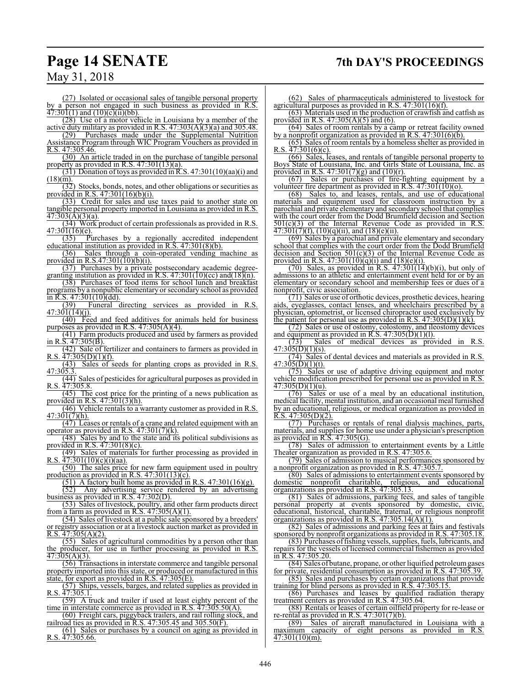## **Page 14 SENATE 7th DAY'S PROCEEDINGS**

## May 31, 2018

(27) Isolated or occasional sales of tangible personal property by a person not engaged in such business as provided in R.S.  $47:301(1)$  and  $(10)(c)(ii)(bb)$ .

(28) Use of a motor vehicle in Louisiana by a member of the

active duty military as provided in R.S.  $47:303(A)(3)(a)$  and 305.48.<br>(29) Purchases made under the Supplemental Nutrition Purchases made under the Supplemental Nutrition Assistance Program through WIC Program Vouchers as provided in R.S. 47:305.46.

(30) An article traded in on the purchase of tangible personal property as provided in R.S. 47:301(13)(a).

(31) Donation of toys as provided in R.S. 47:301(10)(aa)(i) and  $(18)(\overline{m})$ 

(32) Stocks, bonds, notes, and other obligations or securities as provided in R.S. 47:301(16)(b)(i).

(33) Credit for sales and use taxes paid to another state on tangible personal property imported in Louisiana as provided in R.S.  $47:303(A)(3)(a)$ .

(34) Work product of certain professionals as provided in R.S. 47:301(16)(e).

(35) Purchases by a regionally accredited independent educational institution as provided in R.S. 47:301(8)(b).

(36) Sales through a coin-operated vending machine as provided in R.S.47:301(10)(b)(i).

(37) Purchases by a private postsecondary academic degreegranting institution as provided in R.S.  $47:301(10)(cc)$  and $(18)(n)$ .

(38) Purchases of food items for school lunch and breakfast programs by a nonpublic elementary or secondary school as provided

 $\frac{\ln R.S. 47:301(10)(dd)}{(39)}$  Funeral Funeral directing services as provided in R.S.  $47:301(14)(j).$ 

(40) Feed and feed additives for animals held for business purposes as provided in R.S.  $47:305(A)(4)$ .

(41) Farm products produced and used by farmers as provided in R.S. 47:305(B).

(42) Sale of fertilizer and containers to farmers as provided in R.S.  $\frac{47:305(D)(1)(f)}{2}$ .

(43) Sales of seeds for planting crops as provided in R.S. 47:305.3.

(44) Sales of pesticides for agricultural purposes as provided in R.S. 47:305.8.

(45) The cost price for the printing of a news publication as provided in R.S. 47:301(3)(h).

(46) Vehicle rentals to a warranty customer as provided in R.S. 47:301(7)(h).

(47) Leases or rentals of a crane and related equipment with an operator as provided in R.S.  $47:301(7)(k)$ .

(48) Sales by and to the state and its political subdivisions as provided in R.S.  $47:301(8)(c)$ .<br>(49) Sales of materials f

Sales of materials for further processing as provided in R.S. 47:301(10)(c)(i)(aa).

(50) The sales price for new farm equipment used in poultry production as provided in  $R.S. 47:301(13)(c)$ .

 $(51)$  A factory built home as provided in R.S. 47:301(16)(g).<br>(52) Any advertising service rendered by an advertisin

Any advertising service rendered by an advertising business as provided in R.S. 47:302(D).

(53) Sales of livestock, poultry, and other farm products direct from a farm as provided in R.S.  $47:305(A)(1)$ .

(54) Sales of livestock at a public sale sponsored by a breeders' or registry association or at a livestock auction market as provided in R.S.  $47:305(A)(2)$ .

(55) Sales of agricultural commodities by a person other than the producer, for use in further processing as provided in R.S. 47:305(A)(3).

(56) Transactions in interstate commerce and tangible personal property imported into this state, or produced or manufactured in this state, for export as provided in R.S. 47:305(E).

(57) Ships, vessels, barges, and related supplies as provided in R.S. 47:305.1.

(59) A truck and trailer if used at least eighty percent of the time in interstate commerce as provided in R.S. 47:305.50(A).

(60) Freight cars, piggyback trailers, and rail rolling stock, and railroad ties as provided in R.S. 47:305.45 and 305.50(F).

(61) Sales or purchases by a council on aging as provided in R.S. 47:305.66.

(62) Sales of pharmaceuticals administered to livestock for agricultural purposes as provided in R.S. 47:301(16)(f).

(63) Materials used in the production of crawfish and catfish as provided in R.S. 47:305(A)(5) and (6).

(64) Sales of room rentals by a camp or retreat facility owned by a nonprofit organization as provided in R.S.  $47:301(6)(6)$ .

(65) Sales of room rentals by a homeless shelter as provided in R.S.  $47:301(6)(c)$ .

(66) Sales, leases, and rentals of tangible personal property to Boys State of Louisiana, Inc. and Girls State of Louisiana, Inc. as provided in R.S.  $47:301(7)(g)$  and  $(10)(r)$ .

(67) Sales or purchases of fire-fighting equipment by a volunteer fire department as provided in R.S.  $47.301(10)(o)$ .

(68) Sales to, and leases, rentals, and use of educational materials and equipment used for classroom instruction by a parochial and private elementary and secondary school that complies with the court order from the Dodd Brumfield decision and Section  $501(c)(3)$  of the Internal Revenue Code as provided in R.S.  $501(c)(3)$  of the Internal Revenue Code as provided in  $\frac{47:301(7)(f)}{10(1)(g)(ii)}$ , and  $\frac{18}{(e)(ii)}$ .

(69) Sales by a parochial and private elementary and secondary school that complies with the court order from the Dodd Brumfield decision and Section  $501(c)(3)$  of the Internal Revenue Code as provided in R.S.  $47:301(10)(q)(i)$  and  $(18)(e)(i)$ .

 $(70)$  Sales, as provided in R.S.  $47:301(14)(b)(i)$ , but only of admissions to an athletic and entertainment event held for or by an elementary or secondary school and membership fees or dues of a nonprofit, civic association.

(71) Sales or use of orthotic devices, prosthetic devices, hearing aids, eyeglasses, contact lenses, and wheelchairs prescribed by a physician, optometrist, or licensed chiropractor used exclusively by the patient for personal use as provided in R.S.  $47:305(D)(1)(k)$ .

(72) Sales or use of ostomy, colostomy, and ileostomy devices and equipment as provided in R.S.  $47:305(D)(1)(1)$ .

(73) Sales of medical devices as provided in R.S.  $47:305(D)(1)(s)$ .

(74) Sales of dental devices and materials as provided in R.S.  $47:305(D)(1)(t)$ .

(75) Sales or use of adaptive driving equipment and motor vehicle modification prescribed for personal use as provided in R.S.  $\frac{47:305(D)(1)(u)}{(76)}$ . Sales

Sales or use of a meal by an educational institution, medical facility, mental institution, and an occasional meal furnished by an educational, religious, or medical organization as provided in R.S.  $47:305(D)(2)$ .

(77) Purchases or rentals of renal dialysis machines, parts, materials, and supplies for home use under a physician's prescription as provided in R.S. 47:305(G).

(78) Sales of admission to entertainment events by a Little Theater organization as provided in R.S. 47:305.6.

(79) Sales of admission to musical performances sponsored by a nonprofit organization as provided in R.S. 47:305.7.

(80) Sales of admissions to entertainment events sponsored by domestic nonprofit charitable, religious, and educational organizations as provided in R.S. 47:305.13.

(81) Sales of admissions, parking fees, and sales of tangible personal property at events sponsored by domestic, civic, educational, historical, charitable, fraternal, or religious nonprofit organizations as provided in R.S. 47:305.14(A)(1).

(82) Sales of admissions and parking fees at fairs and festivals sponsored by nonprofit organizations as provided in R.S. 47:305.18.

(83) Purchases offishing vessels, supplies, fuels, lubricants, and repairs for the vessels of licensed commercial fishermen as provided in R.S. 47:305.20.

(84) Sales of butane, propane, or other liquified petroleumgases for private, residential consumption as provided in R.S. 47:305.39.

(85) Sales and purchases by certain organizations that provide training for blind persons as provided in R.S. 47:305.15.

(86) Purchases and leases by qualified radiation therapy treatment centers as provided in R.S. 47:305.64.

(88) Rentals or leases of certain oilfield property for re-lease or re-rental as provided in R.S.  $47:301(7)(b)$ .<br>(89) Sales of aircraft manufacture

Sales of aircraft manufactured in Louisiana with maximum capacity of eight persons as provided in R.S. 47:301(10)(m).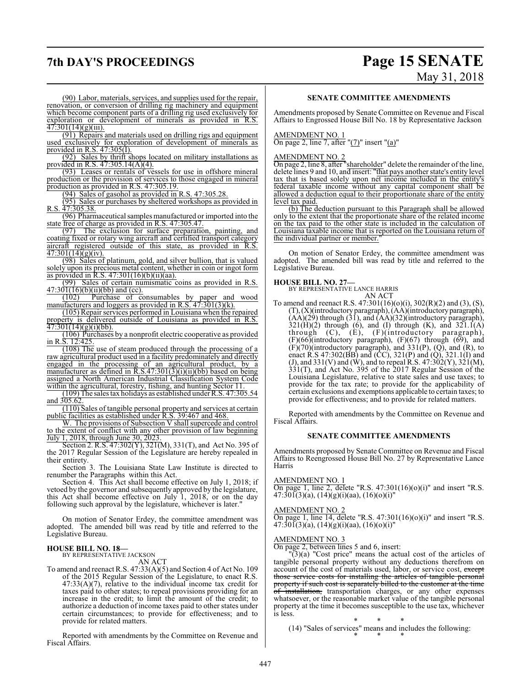## **7th DAY'S PROCEEDINGS Page 15 SENATE** May 31, 2018

(90) Labor, materials, services, and supplies used for the repair, renovation, or conversion of drilling rig machinery and equipment which become component parts of a drilling rig used exclusively for exploration or development of minerals as provided in R.S.  $47:301(14)(g)(iii)$ .

(91) Repairs and materials used on drilling rigs and equipment used exclusively for exploration of development of minerals as provided in R.S. 47:305(I).

(92) Sales by thrift shops located on military installations as provided in R.S. 47:305.14(A)(4).

(93) Leases or rentals of vessels for use in offshore mineral production or the provision of services to those engaged in mineral production as provided in R.S. 47:305.19.

(94) Sales of gasohol as provided in R.S. 47:305.28.

(95) Sales or purchases by sheltered workshops as provided in R.S. 47:305.38.

(96) Pharmaceutical samples manufactured or imported into the state free of charge as provided in R.S. 47:305.47.

(97) The exclusion for surface preparation, painting, and coating fixed or rotary wing aircraft and certified transport category aircraft registered outside of this state, as provided in R.S.  $\frac{47:301(14)(g)(iv)}{20}$ .

(98) Sales of platinum, gold, and silver bullion, that is valued solely upon its precious metal content, whether in coin or ingot form as provided in R.S. 47:301(16)(b)(ii)(aa).

(99) Sales of certain numismatic coins as provided in R.S.  $\frac{47:301(16)(b)(ii)(bb)}{(102)}$  Purchase of co

Purchase of consumables by paper and wood manufacturers and loggers as provided in R.S. 47:301(3)(k).

(105) Repair services performed in Louisiana when the repaired property is delivered outside of Louisiana as provided in R.S.  $\overline{47:301(14)(g)(i)(bb)}$ .

(106) Purchases by a nonprofit electric cooperative as provided in R.S. 12:425.

(108) The use of steam produced through the processing of a raw agricultural product used in a facility predominately and directly engaged in the processing of an agricultural product, by a manufacturer as defined in  $R.S.47:301(3)(i)(ii)(bb)$  based on being assigned a North American Industrial Classification System Code within the agricultural, forestry, fishing, and hunting Sector 11.

(109) The sales tax holidays as established under R.S. 47:305.54 and  $305.62$ 

(110) Sales of tangible personal property and services at certain public facilities as established under R.S. 39:467 and 468.

W. The provisions of Subsection V shall supercede and control to the extent of conflict with any other provision of law beginning July 1, 2018, through June 30, 2023.

Section 2. R.S. 47:302(Y), 321(M), 331(T), and Act No. 395 of the 2017 Regular Session of the Legislature are hereby repealed in their entirety.

Section 3. The Louisiana State Law Institute is directed to renumber the Paragraphs within this Act.

Section 4. This Act shall become effective on July 1, 2018; if vetoed by the governor and subsequently approved by the legislature, this Act shall become effective on July 1, 2018, or on the day following such approval by the legislature, whichever is later."

On motion of Senator Erdey, the committee amendment was adopted. The amended bill was read by title and referred to the Legislative Bureau.

## **HOUSE BILL NO. 18—** BY REPRESENTATIVE JACKSON

AN ACT

To amend and reenact R.S. 47:33(A)(5) and Section 4 of Act No. 109 of the 2015 Regular Session of the Legislature, to enact R.S. 47:33(A)(7), relative to the individual income tax credit for taxes paid to other states; to repeal provisions providing for an increase in the credit; to limit the amount of the credit; to authorize a deduction of income taxes paid to other states under certain circumstances; to provide for effectiveness; and to provide for related matters.

Reported with amendments by the Committee on Revenue and Fiscal Affairs.

## **SENATE COMMITTEE AMENDMENTS**

Amendments proposed by Senate Committee on Revenue and Fiscal Affairs to Engrossed House Bill No. 18 by Representative Jackson

## AMENDMENT NO. 1

On page 2, line 7, after " $(7)$ " insert " $(a)$ "

### AMENDMENT NO. 2

On page 2, line 8, after "shareholder" delete the remainder of the line, delete lines 9 and 10, and insert: "that pays another state's entity level tax that is based solely upon net income included in the entity's federal taxable income without any capital component shall be allowed a deduction equal to their proportionate share of the entity level tax paid.

(b) The deduction pursuant to this Paragraph shall be allowed only to the extent that the proportionate share of the related income on the tax paid to the other state is included in the calculation of Louisiana taxable income that is reported on the Louisiana return of the individual partner or member.

On motion of Senator Erdey, the committee amendment was adopted. The amended bill was read by title and referred to the Legislative Bureau.

## **HOUSE BILL NO. 27—**

BY REPRESENTATIVE LANCE HARRIS AN ACT

To amend and reenact R.S. 47:301(16)(o)(i), 302(R)(2) and (3), (S), (T),(X)(introductory paragraph), (AA)(introductoryparagraph),  $(\overrightarrow{AA})(\overrightarrow{29})$  through  $(\overrightarrow{31})$ , and  $(\overrightarrow{AA})(\overrightarrow{32})$ (introductory paragraph),  $321(H)(2)$  through (6), and (I) through (K), and  $321.1(A)$ through (C), (E), (F)(introductory paragraph),  $(F)(66)$ (introductory paragraph),  $(F)(67)$  through  $(69)$ , and  $(F)(70)$ (introductory paragraph), and 331 $(P)$ ,  $(Q)$ , and  $(R)$ , to enact R.S 47:302(BB) and (CC), 321(P) and (Q), 321.1(I) and (J), and 331(V) and (W), and to repeal R.S.  $47:302(Y)$ ,  $321(M)$ , 331(T), and Act No. 395 of the 2017 Regular Session of the Louisiana Legislature, relative to state sales and use taxes; to provide for the tax rate; to provide for the applicability of certain exclusions and exemptions applicable to certain taxes; to provide for effectiveness; and to provide for related matters.

Reported with amendments by the Committee on Revenue and Fiscal Affairs.

## **SENATE COMMITTEE AMENDMENTS**

Amendments proposed by Senate Committee on Revenue and Fiscal Affairs to Reengrossed House Bill No. 27 by Representative Lance Harris

### AMENDMENT NO. 1

On page 1, line 2, delete "R.S.  $47:301(16)(0)(i)$ " and insert "R.S.  $47:301(3)(a), (14)(g)(i)(aa), (16)(o)(i)''$ 

## AMENDMENT NO. 2

On page 1, line 14, delete "R.S.  $47:301(16)(0)(i)$ " and insert "R.S.  $47:30\tilde{1}(3)(a), (14)(g)(i)(aa), (16)(o)(i)''$ 

### AMENDMENT NO. 3

On page 2, between lines 5 and 6, insert:

 $(3)(a)$  "Cost price" means the actual cost of the articles of tangible personal property without any deductions therefrom on account of the cost of materials used, labor, or service cost, except those service costs for installing the articles of tangible personal property if such cost is separately billed to the customer at the time installation, transportation charges, or any other expenses whatsoever, or the reasonable market value of the tangible personal property at the time it becomes susceptible to the use tax, whichever is less.

\* \* \* (14) "Sales of services" means and includes the following: \* \* \*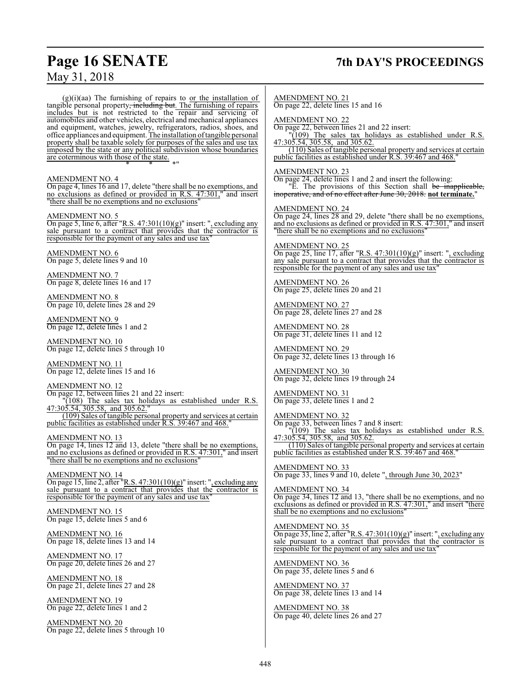## **Page 16 SENATE 7th DAY'S PROCEEDINGS**

 $(g)(i)(aa)$  The furnishing of repairs to or the installation of tangible personal property<del>, including but</del>. The furnishing of repairs includes but is not restricted to the repair and servicing of automobiles and other vehicles, electrical and mechanical appliances and equipment, watches, jewelry, refrigerators, radios, shoes, and office appliances and equipment. The installation of tangible personal property shall be taxable solely for purposes of the sales and use tax imposed by the state or any political subdivision whose boundaries are coterminous with those of the state.

### AMENDMENT NO. 4

On page 4, lines 16 and 17, delete "there shall be no exemptions, and no exclusions as defined or provided in R.S. 47:301," and insert "there shall be no exemptions and no exclusions"

\* \* \*"

## AMENDMENT NO. 5

On page 5, line 6, after "R.S.  $47:301(10)(g)$ " insert: ", excluding any sale pursuant to a contract that provides that the contractor is responsible for the payment of any sales and use tax"

### AMENDMENT NO. 6 On page 5, delete lines 9 and 10

AMENDMENT NO. 7 On page 8, delete lines 16 and 17

AMENDMENT NO. 8 On page 10, delete lines 28 and 29

AMENDMENT NO. 9 On page 12, delete lines 1 and 2

AMENDMENT NO. 10 On page 12, delete lines 5 through 10

AMENDMENT NO. 11 On page 12, delete lines 15 and 16

## AMENDMENT NO. 12

On page 12, between lines 21 and 22 insert: "(108) The sales tax holidays as established under R.S. 47:305.54, 305.58, and 305.62." (109) Sales of tangible personal property and services at certain public facilities as established under R.S. 39:467 and 468."

AMENDMENT NO. 13 On page 14, lines 12 and 13, delete "there shall be no exemptions, and no exclusions as defined or provided in R.S. 47:301," and insert "there shall be no exemptions and no exclusions"

AMENDMENT NO. 14 On page 15, line 2, after "R.S. 47:301(10)(g)" insert: ", excluding any sale pursuant to a contract that provides that the contractor is responsible for the payment of any sales and use tax"

AMENDMENT NO. 15 On page 15, delete lines 5 and 6

AMENDMENT NO. 16 On page 18, delete lines 13 and 14

AMENDMENT NO. 17 On page 20, delete lines 26 and 27

AMENDMENT NO. 18 On page 21, delete lines 27 and 28

AMENDMENT NO. 19 On page 22, delete lines 1 and 2

AMENDMENT NO. 20 On page 22, delete lines 5 through 10

## AMENDMENT NO. 21

On page 22, delete lines 15 and 16

AMENDMENT NO. 22 On page 22, between lines 21 and 22 insert:

"(109) The sales tax holidays as established under R.S. 47:305.54, 305.58, and 305.62.

(110) Sales of tangible personal property and services at certain public facilities as established under R.S. 39:467 and 468."

## AMENDMENT NO. 23

On page 24, delete lines 1 and 2 and insert the following: "E. The provisions of this Section shall be inapplicable, inoperative, and of no effect after June 30, 2018. **not terminate.**"

AMENDMENT NO. 24

On page 24, lines 28 and 29, delete "there shall be no exemptions, and no exclusions as defined or provided in R.S. 47:301," and insert "there shall be no exemptions and no exclusions"

## AMENDMENT NO. 25

On page 25, line 17, after "R.S. 47:301(10)(g)" insert: ", excluding any sale pursuant to a contract that provides that the contractor is responsible for the payment of any sales and use tax"

AMENDMENT NO. 26 On page 25, delete lines 20 and 21

AMENDMENT NO. 27 On page 28, delete lines 27 and 28

AMENDMENT NO. 28 On page 31, delete lines 11 and 12

AMENDMENT NO. 29 On page 32, delete lines 13 through 16

AMENDMENT NO. 30 On page 32, delete lines 19 through 24

AMENDMENT NO. 31 On page 33, delete lines 1 and 2

AMENDMENT NO. 32

On page 33, between lines 7 and 8 insert: "(109) The sales tax holidays as established under R.S. 47:305.54, 305.58, and 305.62.

(110) Sales of tangible personal property and services at certain public facilities as established under R.S. 39:467 and 468.

AMENDMENT NO. 33 On page 33, lines 9 and 10, delete ", through June 30, 2023"

### AMENDMENT NO. 34

On page 34, lines 12 and 13, "there shall be no exemptions, and no exclusions as defined or provided in R.S. 47:301," and insert "there shall be no exemptions and no exclusions"

## AMENDMENT NO. 35

On page 35, line 2, after "R.S.  $47:301(10)(g)$ " insert: ", excluding any sale pursuant to a contract that provides that the contractor is responsible for the payment of any sales and use tax

AMENDMENT NO. 36 On page 35, delete lines 5 and 6

AMENDMENT NO. 37 On page 38, delete lines 13 and 14

AMENDMENT NO. 38 On page 40, delete lines 26 and 27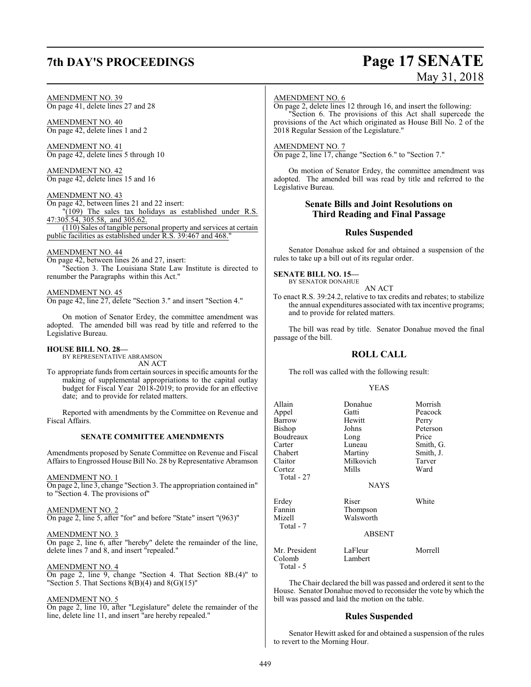## **7th DAY'S PROCEEDINGS Page 17 SENATE**

# May 31, 2018

## AMENDMENT NO. 39

On page 41, delete lines 27 and 28

AMENDMENT NO. 40 On page 42, delete lines 1 and 2

AMENDMENT NO. 41 On page 42, delete lines 5 through 10

AMENDMENT NO. 42 On page 42, delete lines 15 and 16

AMENDMENT NO. 43

On page 42, between lines 21 and 22 insert: "(109) The sales tax holidays as established under R.S. 47:305.54, 305.58, and 305.62. (110) Sales of tangible personal property and services at certain public facilities as established under R.S. 39:467 and 468.

## AMENDMENT NO. 44

On page 42, between lines 26 and 27, insert: "Section 3. The Louisiana State Law Institute is directed to renumber the Paragraphs within this Act."

## AMENDMENT NO. 45

On page 42, line 27, delete "Section 3." and insert "Section 4."

On motion of Senator Erdey, the committee amendment was adopted. The amended bill was read by title and referred to the Legislative Bureau.

## **HOUSE BILL NO. 28—**

BY REPRESENTATIVE ABRAMSON AN ACT

To appropriate funds fromcertain sources in specific amounts for the making of supplemental appropriations to the capital outlay budget for Fiscal Year 2018-2019; to provide for an effective date; and to provide for related matters.

Reported with amendments by the Committee on Revenue and Fiscal Affairs.

## **SENATE COMMITTEE AMENDMENTS**

Amendments proposed by Senate Committee on Revenue and Fiscal Affairs to Engrossed House Bill No. 28 by Representative Abramson

## AMENDMENT NO. 1

On page 2, line 3, change "Section 3. The appropriation contained in" to "Section 4. The provisions of"

## AMENDMENT NO. 2

On page 2, line 5, after "for" and before "State" insert "(963)"

## AMENDMENT NO. 3

On page 2, line 6, after "hereby" delete the remainder of the line, delete lines 7 and 8, and insert "repealed."

## AMENDMENT NO. 4

On page 2, line 9, change "Section 4. That Section 8B.(4)" to "Section 5. That Sections  $8(B)(4)$  and  $8(G)(15)$ "

## AMENDMENT NO. 5

On page 2, line 10, after "Legislature" delete the remainder of the line, delete line 11, and insert "are hereby repealed."

## AMENDMENT NO. 6

On page 2, delete lines 12 through 16, and insert the following: "Section 6. The provisions of this Act shall supercede the provisions of the Act which originated as House Bill No. 2 of the 2018 Regular Session of the Legislature."

## AMENDMENT NO. 7

On page 2, line 17, change "Section 6." to "Section 7."

On motion of Senator Erdey, the committee amendment was adopted. The amended bill was read by title and referred to the Legislative Bureau.

## **Senate Bills and Joint Resolutions on Third Reading and Final Passage**

## **Rules Suspended**

Senator Donahue asked for and obtained a suspension of the rules to take up a bill out of its regular order.

### **SENATE BILL NO. 15—** BY SENATOR DONAHUE

AN ACT

To enact R.S. 39:24.2, relative to tax credits and rebates; to stabilize the annual expenditures associated with tax incentive programs; and to provide for related matters.

The bill was read by title. Senator Donahue moved the final passage of the bill.

## **ROLL CALL**

The roll was called with the following result:

## YEAS

| Allain<br>Appel<br>Barrow<br>Bishop<br>Boudreaux<br>Carter<br>Chabert<br>Claitor<br>Cortez | Donahue<br>Gatti<br>Hewitt<br>Johns<br>Long<br>Luneau<br>Martiny<br>Milkovich<br>Mills | Morrish<br>Peacock<br>Perry<br>Peterson<br>Price<br>Smith, G.<br>Smith, J.<br>Tarver<br>Ward |
|--------------------------------------------------------------------------------------------|----------------------------------------------------------------------------------------|----------------------------------------------------------------------------------------------|
| Total - 27                                                                                 | <b>NAYS</b>                                                                            |                                                                                              |
| Erdey<br>Fannin<br>Mizell<br>Total - 7                                                     | Riser<br>Thompson<br>Walsworth                                                         | White                                                                                        |
|                                                                                            | <b>ABSENT</b>                                                                          |                                                                                              |
| Mr. President<br>Colomb<br>Total - 5                                                       | LaFleur<br>Lambert                                                                     | Morrell                                                                                      |

The Chair declared the bill was passed and ordered it sent to the House. Senator Donahue moved to reconsider the vote by which the bill was passed and laid the motion on the table.

## **Rules Suspended**

Senator Hewitt asked for and obtained a suspension of the rules to revert to the Morning Hour.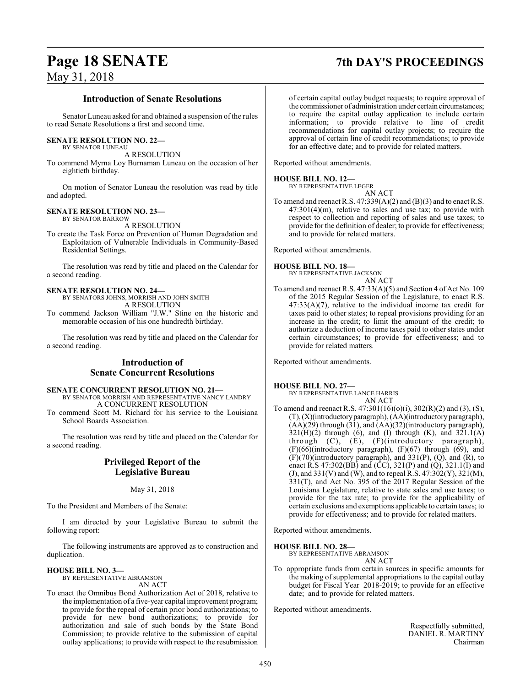## **Page 18 SENATE 7th DAY'S PROCEEDINGS**

## May 31, 2018

## **Introduction of Senate Resolutions**

Senator Luneau asked for and obtained a suspension of the rules to read Senate Resolutions a first and second time.

## **SENATE RESOLUTION NO. 22—**

BY SENATOR LUNEAU

A RESOLUTION To commend Myrna Loy Burnaman Luneau on the occasion of her eightieth birthday.

On motion of Senator Luneau the resolution was read by title and adopted.

### **SENATE RESOLUTION NO. 23—** BY SENATOR BARROW

A RESOLUTION

To create the Task Force on Prevention of Human Degradation and Exploitation of Vulnerable Individuals in Community-Based Residential Settings.

The resolution was read by title and placed on the Calendar for a second reading.

## **SENATE RESOLUTION NO. 24—**

BY SENATORS JOHNS, MORRISH AND JOHN SMITH A RESOLUTION

To commend Jackson William "J.W." Stine on the historic and memorable occasion of his one hundredth birthday.

The resolution was read by title and placed on the Calendar for a second reading.

## **Introduction of Senate Concurrent Resolutions**

## **SENATE CONCURRENT RESOLUTION NO. 21—**

BY SENATOR MORRISH AND REPRESENTATIVE NANCY LANDRY A CONCURRENT RESOLUTION

To commend Scott M. Richard for his service to the Louisiana School Boards Association.

The resolution was read by title and placed on the Calendar for a second reading.

## **Privileged Report of the Legislative Bureau**

May 31, 2018

To the President and Members of the Senate:

I am directed by your Legislative Bureau to submit the following report:

The following instruments are approved as to construction and duplication.

## **HOUSE BILL NO. 3—** BY REPRESENTATIVE ABRAMSON

AN ACT To enact the Omnibus Bond Authorization Act of 2018, relative to the implementation of a five-year capital improvement program; to provide for the repeal of certain prior bond authorizations; to provide for new bond authorizations; to provide for authorization and sale of such bonds by the State Bond Commission; to provide relative to the submission of capital outlay applications; to provide with respect to the resubmission

of certain capital outlay budget requests; to require approval of the commissioner of administration under certain circumstances; to require the capital outlay application to include certain information; to provide relative to line of credit recommendations for capital outlay projects; to require the approval of certain line of credit recommendations; to provide for an effective date; and to provide for related matters.

Reported without amendments.

## **HOUSE BILL NO. 12—**

BY REPRESENTATIVE LEGER AN ACT

To amend and reenact R.S.  $47:339(A)(2)$  and  $(B)(3)$  and to enact R.S. 47:301(4)(m), relative to sales and use tax; to provide with respect to collection and reporting of sales and use taxes; to provide for the definition of dealer; to provide for effectiveness; and to provide for related matters.

Reported without amendments.

## **HOUSE BILL NO. 18—**

BY REPRESENTATIVE JACKSON AN ACT

To amend and reenact R.S. 47:33(A)(5) and Section 4 of Act No. 109 of the 2015 Regular Session of the Legislature, to enact R.S. 47:33(A)(7), relative to the individual income tax credit for taxes paid to other states; to repeal provisions providing for an increase in the credit; to limit the amount of the credit; to authorize a deduction of income taxes paid to other states under certain circumstances; to provide for effectiveness; and to provide for related matters.

Reported without amendments.

## **HOUSE BILL NO. 27—**

BY REPRESENTATIVE LANCE HARRIS AN ACT

To amend and reenact R.S. 47:301(16)(o)(i), 302(R)(2) and (3), (S), (T),(X)(introductoryparagraph), (AA)(introductory paragraph), (AA)(29) through (31), and (AA)(32)(introductory paragraph),  $321(H)(2)$  through (6), and (I) through (K), and  $321.1(A)$ through (C), (E), (F)(introductory paragraph), (F)(66)(introductory paragraph), (F)(67) through (69), and  $(F)(70)$ (introductory paragraph), and 331 $(P)$ ,  $(Q)$ , and  $(R)$ , to enact R.S 47:302(BB) and  $(\dot{CC})$ , 321(P) and  $(\dot{Q})$ , 321.1(I) and (J), and 331(V) and (W), and to repeal R.S. 47:302(Y), 321(M), 331(T), and Act No. 395 of the 2017 Regular Session of the Louisiana Legislature, relative to state sales and use taxes; to provide for the tax rate; to provide for the applicability of certain exclusions and exemptions applicable to certain taxes; to provide for effectiveness; and to provide for related matters.

Reported without amendments.

## **HOUSE BILL NO. 28—**

BY REPRESENTATIVE ABRAMSON AN ACT

To appropriate funds from certain sources in specific amounts for the making of supplemental appropriations to the capital outlay budget for Fiscal Year 2018-2019; to provide for an effective date; and to provide for related matters.

Reported without amendments.

Respectfully submitted, DANIEL R. MARTINY Chairman